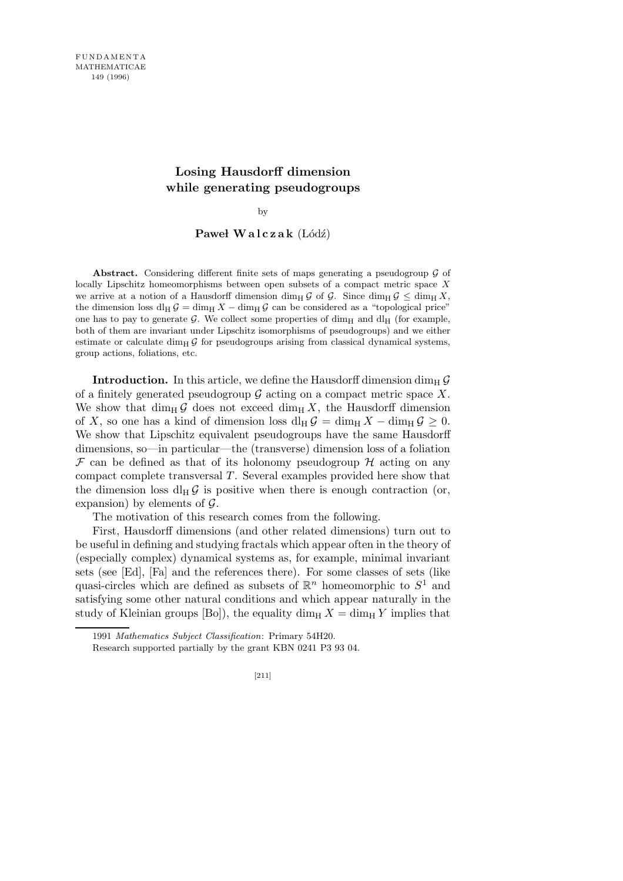# **Losing Hausdorff dimension while generating pseudogroups**

by

### Paweł Walczak (Łódź)

**Abstract.** Considering different finite sets of maps generating a pseudogroup *G* of locally Lipschitz homeomorphisms between open subsets of a compact metric space *X* we arrive at a notion of a Hausdorff dimension dim<sub>H</sub>  $\mathcal{G}$  of  $\mathcal{G}$ . Since dim<sub>H</sub>  $\mathcal{G}$  < dim<sub>H</sub>  $X$ , the dimension loss dl<sub>H</sub>  $\mathcal{G} = \dim_H \mathcal{G}$  can be considered as a "topological price" one has to pay to generate  $G$ . We collect some properties of dim<sub>H</sub> and dl<sub>H</sub> (for example, both of them are invariant under Lipschitz isomorphisms of pseudogroups) and we either estimate or calculate dim<sub>H</sub>  $\mathcal{G}$  for pseudogroups arising from classical dynamical systems, group actions, foliations, etc.

**Introduction.** In this article, we define the Hausdorff dimension dim<sub>H</sub>  $\mathcal{G}$ of a finitely generated pseudogroup  $G$  acting on a compact metric space X. We show that dim<sub>H</sub> G does not exceed dim<sub>H</sub> X, the Hausdorff dimension of X, so one has a kind of dimension loss dl<sub>H</sub>  $\mathcal{G} = \dim_H X - \dim_H \mathcal{G} \geq 0$ . We show that Lipschitz equivalent pseudogroups have the same Hausdorff dimensions, so—in particular—the (transverse) dimension loss of a foliation  $\mathcal F$  can be defined as that of its holonomy pseudogroup  $\mathcal H$  acting on any compact complete transversal T. Several examples provided here show that the dimension loss dl<sub>H</sub> $\mathcal{G}$  is positive when there is enough contraction (or, expansion) by elements of  $\mathcal{G}$ .

The motivation of this research comes from the following.

First, Hausdorff dimensions (and other related dimensions) turn out to be useful in defining and studying fractals which appear often in the theory of (especially complex) dynamical systems as, for example, minimal invariant sets (see [Ed], [Fa] and the references there). For some classes of sets (like quasi-circles which are defined as subsets of  $\mathbb{R}^n$  homeomorphic to  $S^1$  and satisfying some other natural conditions and which appear naturally in the study of Kleinian groups [Bo]), the equality dim<sub>H</sub>  $X = \dim_H Y$  implies that

<sup>1991</sup> *Mathematics Subject Classification*: Primary 54H20.

Research supported partially by the grant KBN 0241 P3 93 04.

<sup>[211]</sup>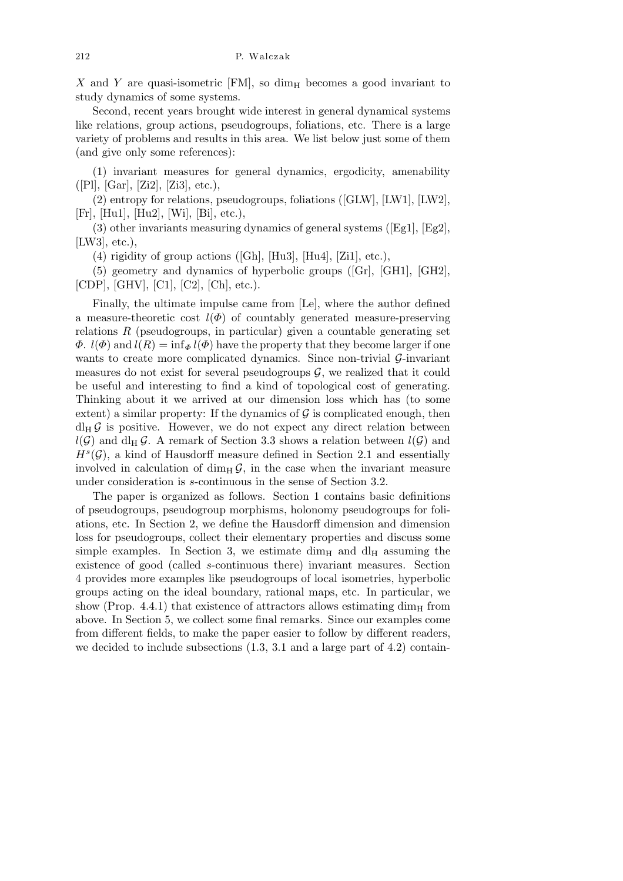$X$  and Y are quasi-isometric [FM], so dim<sub>H</sub> becomes a good invariant to study dynamics of some systems.

Second, recent years brought wide interest in general dynamical systems like relations, group actions, pseudogroups, foliations, etc. There is a large variety of problems and results in this area. We list below just some of them (and give only some references):

(1) invariant measures for general dynamics, ergodicity, amenability  $([P1], [Gar], [Zi2], [Zi3], etc.),$ 

(2) entropy for relations, pseudogroups, foliations ([GLW], [LW1], [LW2], [Fr], [Hu1], [Hu2], [Wi], [Bi], etc.),

(3) other invariants measuring dynamics of general systems ( $[Eg1], [Eg2],$ [LW3], etc.),

(4) rigidity of group actions ([Gh], [Hu3], [Hu4], [Zi1], etc.),

(5) geometry and dynamics of hyperbolic groups ([Gr], [GH1], [GH2], [CDP], [GHV], [C1], [C2], [Ch], etc.).

Finally, the ultimate impulse came from [Le], where the author defined a measure-theoretic cost  $l(\Phi)$  of countably generated measure-preserving relations  $R$  (pseudogroups, in particular) given a countable generating set  $\Phi$ .  $l(\Phi)$  and  $l(R) = \inf_{\Phi} l(\Phi)$  have the property that they become larger if one wants to create more complicated dynamics. Since non-trivial  $\mathcal{G}\text{-invariant}$ measures do not exist for several pseudogroups  $\mathcal{G}$ , we realized that it could be useful and interesting to find a kind of topological cost of generating. Thinking about it we arrived at our dimension loss which has (to some extent) a similar property: If the dynamics of  $\mathcal G$  is complicated enough, then  $dl_H \mathcal{G}$  is positive. However, we do not expect any direct relation between  $l(G)$  and dl<sub>H</sub> G. A remark of Section 3.3 shows a relation between  $l(G)$  and  $H<sup>s</sup>(\mathcal{G})$ , a kind of Hausdorff measure defined in Section 2.1 and essentially involved in calculation of  $\dim_{\rm H} \mathcal{G}$ , in the case when the invariant measure under consideration is s-continuous in the sense of Section 3.2.

The paper is organized as follows. Section 1 contains basic definitions of pseudogroups, pseudogroup morphisms, holonomy pseudogroups for foliations, etc. In Section 2, we define the Hausdorff dimension and dimension loss for pseudogroups, collect their elementary properties and discuss some simple examples. In Section 3, we estimate dim<sub>H</sub> and dl<sub>H</sub> assuming the existence of good (called s-continuous there) invariant measures. Section 4 provides more examples like pseudogroups of local isometries, hyperbolic groups acting on the ideal boundary, rational maps, etc. In particular, we show (Prop. 4.4.1) that existence of attractors allows estimating dim<sub>H</sub> from above. In Section 5, we collect some final remarks. Since our examples come from different fields, to make the paper easier to follow by different readers, we decided to include subsections  $(1.3, 3.1, \text{ and a large part of } 4.2)$  contain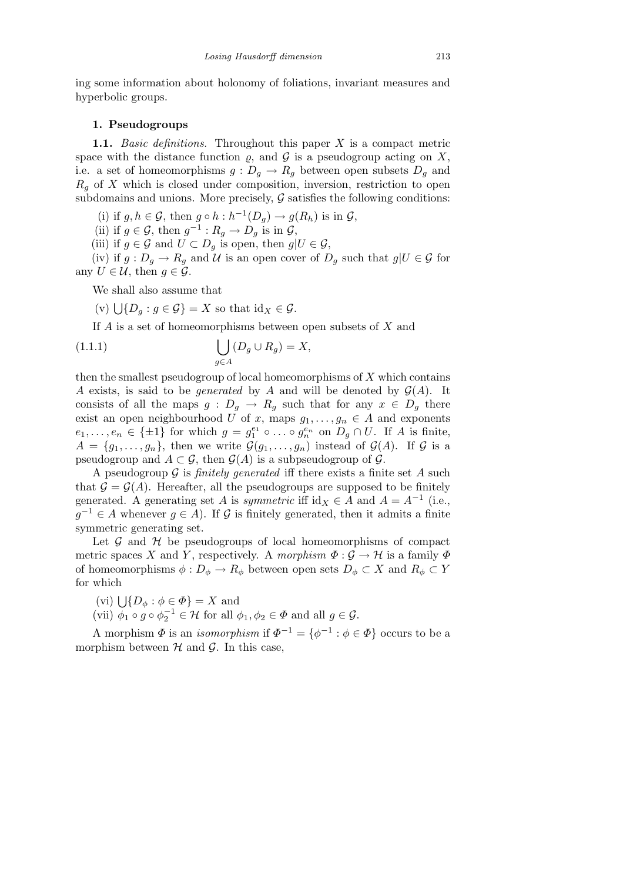ing some information about holonomy of foliations, invariant measures and hyperbolic groups.

#### 1. Pseudogroups

1.1. Basic definitions. Throughout this paper  $X$  is a compact metric space with the distance function  $\rho$ , and  $\mathcal G$  is a pseudogroup acting on X, i.e. a set of homeomorphisms  $g: D_q \to R_q$  between open subsets  $D_q$  and  $R<sub>q</sub>$  of X which is closed under composition, inversion, restriction to open subdomains and unions. More precisely,  $G$  satisfies the following conditions:

(i) if  $g, h \in \mathcal{G}$ , then  $g \circ h : h^{-1}(D_g) \to g(R_h)$  is in  $\mathcal{G}$ ,

(ii) if  $g \in \mathcal{G}$ , then  $g^{-1}: R_g \to D_g$  is in  $\mathcal{G}$ ,

(iii) if  $g \in \mathcal{G}$  and  $U \subset D_g$  is open, then  $g|U \in \mathcal{G}$ ,

(iv) if  $g: D_g \to R_g$  and U is an open cover of  $D_g$  such that  $g|U \in \mathcal{G}$  for any  $U \in \mathcal{U}$ , then  $g \in \mathcal{G}$ .

We shall also assume that

(v)  $\bigcup \{D_g : g \in \mathcal{G}\} = X$  so that  $\mathrm{id}_X \in \mathcal{G}$ .

If A is a set of homeomorphisms between open subsets of X and

(1.1.1) 
$$
\bigcup_{g\in A} (D_g \cup R_g) = X,
$$

then the smallest pseudogroup of local homeomorphisms of  $X$  which contains A exists, is said to be *generated* by A and will be denoted by  $\mathcal{G}(A)$ . It consists of all the maps  $g : D_g \to R_g$  such that for any  $x \in D_g$  there exist an open neighbourhood U of x, maps  $g_1, \ldots, g_n \in A$  and exponents  $e_1, \ldots, e_n \in {\pm 1}$  for which  $g = g_1^{e_1} \circ \ldots \circ g_n^{e_n}$  on  $D_g \cap U$ . If A is finite,  $A = \{g_1, \ldots, g_n\}$ , then we write  $\mathcal{G}(g_1, \ldots, g_n)$  instead of  $\mathcal{G}(A)$ . If  $\mathcal G$  is a pseudogroup and  $A \subset \mathcal{G}$ , then  $\mathcal{G}(A)$  is a subpseudogroup of  $\mathcal{G}$ .

A pseudogroup  $\mathcal G$  is *finitely generated* iff there exists a finite set A such that  $\mathcal{G} = \mathcal{G}(A)$ . Hereafter, all the pseudogroups are supposed to be finitely generated. A generating set A is symmetric iff  $id_X \in A$  and  $A = A^{-1}$  (i.e.,  $g^{-1} \in A$  whenever  $g \in A$ ). If G is finitely generated, then it admits a finite symmetric generating set.

Let  $\mathcal G$  and  $\mathcal H$  be pseudogroups of local homeomorphisms of compact metric spaces X and Y, respectively. A morphism  $\Phi : \mathcal{G} \to \mathcal{H}$  is a family  $\Phi$ of homeomorphisms  $\phi : D_{\phi} \to R_{\phi}$  between open sets  $D_{\phi} \subset X$  and  $R_{\phi} \subset Y$ for which

(vi)  $\bigcup \{D_{\phi} : \phi \in \Phi\} = X$  and

(vii)  $\phi_1 \circ g \circ \phi_2^{-1} \in \mathcal{H}$  for all  $\phi_1, \phi_2 \in \Phi$  and all  $g \in \mathcal{G}$ .

A morphism  $\Phi$  is an *isomorphism* if  $\Phi^{-1} = {\phi^{-1} : \phi \in \Phi}$  occurs to be a morphism between  $H$  and  $G$ . In this case,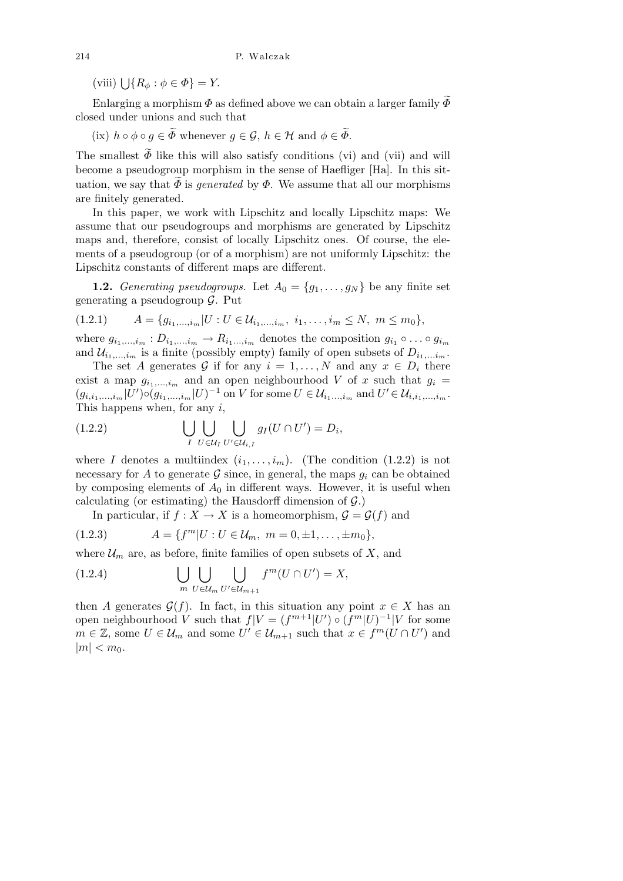(viii)  $\bigcup \{ R_{\phi} : \phi \in \Phi \} = Y.$ 

Enlarging a morphism  $\Phi$  as defined above we can obtain a larger family  $\widetilde{\Phi}$ closed under unions and such that

(ix)  $h \circ \phi \circ q \in \widetilde{\Phi}$  whenever  $q \in \mathcal{G}$ ,  $h \in \mathcal{H}$  and  $\phi \in \widetilde{\Phi}$ .

The smallest  $\widetilde{\Phi}$  like this will also satisfy conditions (vi) and (vii) and will become a pseudogroup morphism in the sense of Haefliger [Ha]. In this situation, we say that  $\Phi$  is *generated* by  $\Phi$ . We assume that all our morphisms are finitely generated.

In this paper, we work with Lipschitz and locally Lipschitz maps: We assume that our pseudogroups and morphisms are generated by Lipschitz maps and, therefore, consist of locally Lipschitz ones. Of course, the elements of a pseudogroup (or of a morphism) are not uniformly Lipschitz: the Lipschitz constants of different maps are different.

**1.2.** Generating pseudogroups. Let  $A_0 = \{g_1, \ldots, g_N\}$  be any finite set generating a pseudogroup  $\mathcal{G}$ . Put

$$
(1.2.1) \t A = \{g_{i_1,\ldots,i_m}|U:U \in \mathcal{U}_{i_1,\ldots,i_m}, i_1,\ldots,i_m \leq N, m \leq m_0\},\
$$

where  $g_{i_1,\dots,i_m}: D_{i_1,\dots,i_m} \to R_{i_1,\dots,i_m}$  denotes the composition  $g_{i_1} \circ \dots \circ g_{i_m}$ and  $\mathcal{U}_{i_1,\dots,i_m}$  is a finite (possibly empty) family of open subsets of  $D_{i_1,\dots,i_m}$ .

The set A generates G if for any  $i = 1, ..., N$  and any  $x \in D_i$  there exist a map  $g_{i_1,\dots,i_m}$  and an open neighbourhood V of x such that  $g_i =$  $(g_{i,i_1,...,i_m}|U') \circ (g_{i_1,...,i_m}|U)^{-1}$  on V for some  $U \in \mathcal{U}_{i_1,...,i_m}$  and  $U' \in \mathcal{U}_{i,i_1,...,i_m}$ . This happens when, for any  $i$ ,

(1.2.2) 
$$
\bigcup_{I} \bigcup_{U \in \mathcal{U}_I} \bigcup_{U' \in \mathcal{U}_{i,I}} g_I(U \cap U') = D_i,
$$

where I denotes a multiindex  $(i_1, \ldots, i_m)$ . (The condition (1.2.2) is not necessary for A to generate  $\mathcal G$  since, in general, the maps  $g_i$  can be obtained by composing elements of  $A_0$  in different ways. However, it is useful when calculating (or estimating) the Hausdorff dimension of  $\mathcal{G}$ .)

In particular, if  $f : X \to X$  is a homeomorphism,  $\mathcal{G} = \mathcal{G}(f)$  and

$$
(1.2.3) \t A = \{ f^m | U : U \in \mathcal{U}_m, \ m = 0, \pm 1, \dots, \pm m_0 \},
$$

where  $\mathcal{U}_m$  are, as before, finite families of open subsets of X, and

(1.2.4) 
$$
\bigcup_{m} \bigcup_{U \in \mathcal{U}_m} \bigcup_{U' \in \mathcal{U}_{m+1}} f^m(U \cap U') = X,
$$

then A generates  $\mathcal{G}(f)$ . In fact, in this situation any point  $x \in X$  has an open neighbourhood V such that  $f|V = (f^{m+1}|U') \circ (f^m|U)^{-1}|V$  for some  $m \in \mathbb{Z}$ , some  $U \in \mathcal{U}_m$  and some  $U' \in \mathcal{U}_{m+1}$  such that  $x \in f^m(U \cap U')$  and  $|m| < m_0$ .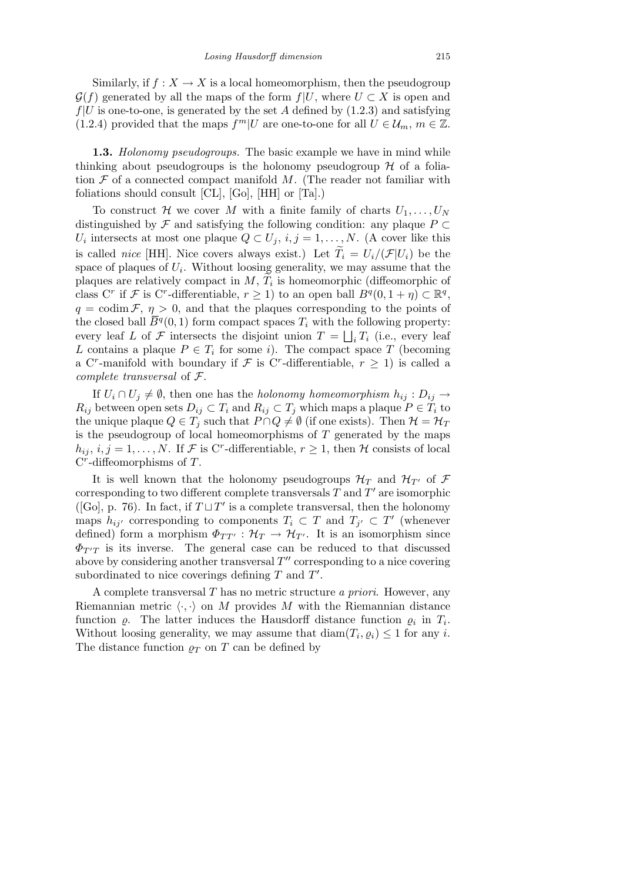Similarly, if  $f: X \to X$  is a local homeomorphism, then the pseudogroup  $\mathcal{G}(f)$  generated by all the maps of the form  $f|U$ , where  $U \subset X$  is open and  $f|U$  is one-to-one, is generated by the set A defined by  $(1.2.3)$  and satisfying (1.2.4) provided that the maps  $f^m|U$  are one-to-one for all  $U \in \mathcal{U}_m$ ,  $m \in \mathbb{Z}$ .

**1.3.** Holonomy pseudogroups. The basic example we have in mind while thinking about pseudogroups is the holonomy pseudogroup  $H$  of a foliation  $\mathcal F$  of a connected compact manifold  $M$ . (The reader not familiar with foliations should consult [CL], [Go], [HH] or [Ta].)

To construct H we cover M with a finite family of charts  $U_1, \ldots, U_N$ distinguished by  $\mathcal F$  and satisfying the following condition: any plaque  $P \subset$  $U_i$  intersects at most one plaque  $Q \subset U_j$ ,  $i, j = 1, \ldots, N$ . (A cover like this is called nice [HH]. Nice covers always exist.) Let  $\widetilde{T}_i = U_i/(\mathcal{F}|U_i)$  be the space of plaques of  $U_i$ . Without loosing generality, we may assume that the plaques are relatively compact in  $M$ ,  $T_i$  is homeomorphic (diffeomorphic of class C<sup>r</sup> if F is C<sup>r</sup>-differentiable,  $r \geq 1$ ) to an open ball  $B^q(0, 1 + \eta) \subset \mathbb{R}^q$ ,  $q = \text{codim } \mathcal{F}, \eta > 0$ , and that the plaques corresponding to the points of the closed ball  $\overline{B}^q(0,1)$  form compact spaces  $T_i$  with the following property: every leaf L of F intersects the disjoint union  $T = \bigsqcup_i T_i$  (i.e., every leaf L contains a plaque  $P \in T_i$  for some i). The compact space T (becoming a C<sup>r</sup>-manifold with boundary if F is C<sup>r</sup>-differentiable,  $r \geq 1$ ) is called a complete transversal of F.

If  $U_i \cap U_j \neq \emptyset$ , then one has the *holonomy homeomorphism*  $h_{ij} : D_{ij} \rightarrow$  $R_{ij}$  between open sets  $D_{ij} \subset T_i$  and  $R_{ij} \subset T_j$  which maps a plaque  $P \in T_i$  to the unique plaque  $Q \in T_j$  such that  $P \cap Q \neq \emptyset$  (if one exists). Then  $\mathcal{H} = \mathcal{H}_T$ is the pseudogroup of local homeomorphisms of  $T$  generated by the maps  $h_{ij}, i, j = 1, \ldots, N$ . If  $\mathcal F$  is C<sup>r</sup>-differentiable,  $r \geq 1$ , then  $\mathcal H$  consists of local  $C^r$ -diffeomorphisms of  $T$ .

It is well known that the holonomy pseudogroups  $\mathcal{H}_T$  and  $\mathcal{H}_{T'}$  of  $\mathcal F$ corresponding to two different complete transversals  $T$  and  $T'$  are isomorphic ([Go], p. 76). In fact, if  $T \sqcup T'$  is a complete transversal, then the holonomy maps  $h_{ij'}$  corresponding to components  $T_i \subset T$  and  $T_{j'} \subset T'$  (whenever defined) form a morphism  $\Phi_{TT'} : \mathcal{H}_T \to \mathcal{H}_{T'}$ . It is an isomorphism since  $\Phi_{T'T}$  is its inverse. The general case can be reduced to that discussed above by considering another transversal  $T''$  corresponding to a nice covering subordinated to nice coverings defining  $T$  and  $T'$ .

A complete transversal  $T$  has no metric structure a priori. However, any Riemannian metric  $\langle \cdot, \cdot \rangle$  on M provides M with the Riemannian distance function  $\varrho$ . The latter induces the Hausdorff distance function  $\varrho_i$  in  $T_i$ . Without loosing generality, we may assume that  $\text{diam}(T_i, \varrho_i) \leq 1$  for any i. The distance function  $\rho_T$  on T can be defined by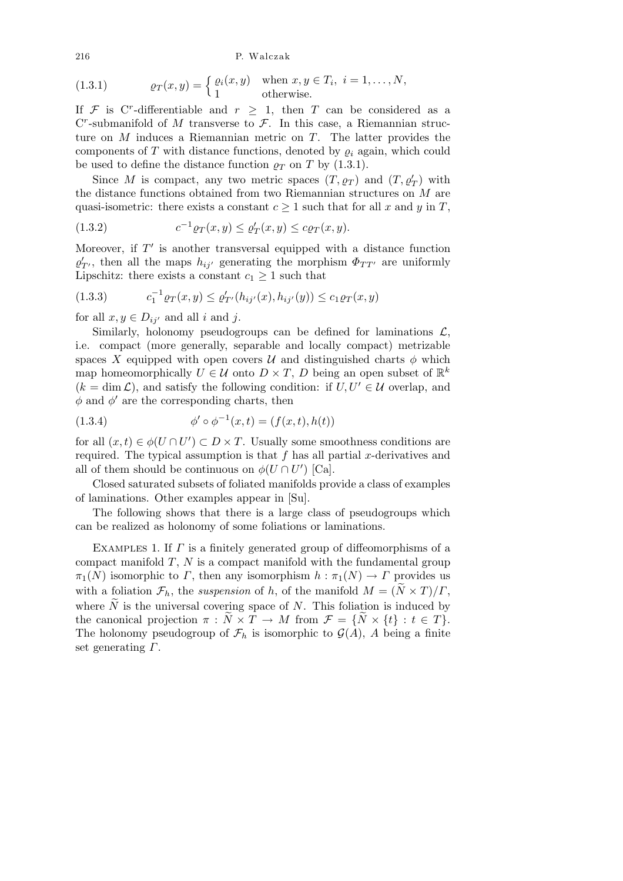216 P. Walczak

(1.3.1) 
$$
\varrho_T(x,y) = \begin{cases} \varrho_i(x,y) & \text{when } x,y \in T_i, \ i = 1,\dots,N, \\ 1 & \text{otherwise.} \end{cases}
$$

If F is C<sup>r</sup>-differentiable and  $r \geq 1$ , then T can be considered as a  $C<sup>r</sup>$ -submanifold of M transverse to  $\mathcal{F}$ . In this case, a Riemannian structure on M induces a Riemannian metric on T. The latter provides the components of  $T$  with distance functions, denoted by  $\varrho_i$  again, which could be used to define the distance function  $\rho_T$  on T by (1.3.1).

Since M is compact, any two metric spaces  $(T, \varrho_T)$  and  $(T, \varrho'_T)$  with the distance functions obtained from two Riemannian structures on M are quasi-isometric: there exists a constant  $c \geq 1$  such that for all x and y in T,

(1.3.2) 
$$
c^{-1} \varrho_T(x, y) \le \varrho'_T(x, y) \le c \varrho_T(x, y).
$$

Moreover, if  $T'$  is another transversal equipped with a distance function  $\varrho'_{T'}$ , then all the maps  $h_{ij'}$  generating the morphism  $\Phi_{TT'}$  are uniformly Lipschitz: there exists a constant  $c_1 \geq 1$  such that

$$
(1.3.3) \t c_1^{-1} \varrho_T(x, y) \le \varrho'_{T'}(h_{ij'}(x), h_{ij'}(y)) \le c_1 \varrho_T(x, y)
$$

for all  $x, y \in D_{ij'}$  and all i and j.

Similarly, holonomy pseudogroups can be defined for laminations  $\mathcal{L}$ , i.e. compact (more generally, separable and locally compact) metrizable spaces X equipped with open covers  $\mathcal U$  and distinguished charts  $\phi$  which map homeomorphically  $U \in \mathcal{U}$  onto  $D \times T$ , D being an open subset of  $\mathbb{R}^k$  $(k = \dim \mathcal{L})$ , and satisfy the following condition: if  $U, U' \in \mathcal{U}$  overlap, and  $\phi$  and  $\phi'$  are the corresponding charts, then

(1.3.4) 
$$
\phi' \circ \phi^{-1}(x,t) = (f(x,t), h(t))
$$

for all  $(x,t) \in \phi(U \cap U') \subset D \times T$ . Usually some smoothness conditions are required. The typical assumption is that f has all partial x-derivatives and all of them should be continuous on  $\phi(U \cap U')$  [Ca].

Closed saturated subsets of foliated manifolds provide a class of examples of laminations. Other examples appear in [Su].

The following shows that there is a large class of pseudogroups which can be realized as holonomy of some foliations or laminations.

EXAMPLES 1. If  $\Gamma$  is a finitely generated group of diffeomorphisms of a compact manifold  $T$ ,  $N$  is a compact manifold with the fundamental group  $\pi_1(N)$  isomorphic to  $\Gamma$ , then any isomorphism  $h : \pi_1(N) \to \Gamma$  provides us with a foliation  $\mathcal{F}_h$ , the suspension of h, of the manifold  $M = (\tilde{N} \times T)/\Gamma$ , where  $\tilde{N}$  is the universal covering space of N. This foliation is induced by the canonical projection  $\pi : \overline{N} \times T \to M$  from  $\mathcal{F} = \{N \times \{t\} : t \in T\}.$ The holonomy pseudogroup of  $\mathcal{F}_h$  is isomorphic to  $\mathcal{G}(A)$ , A being a finite set generating  $\Gamma$ .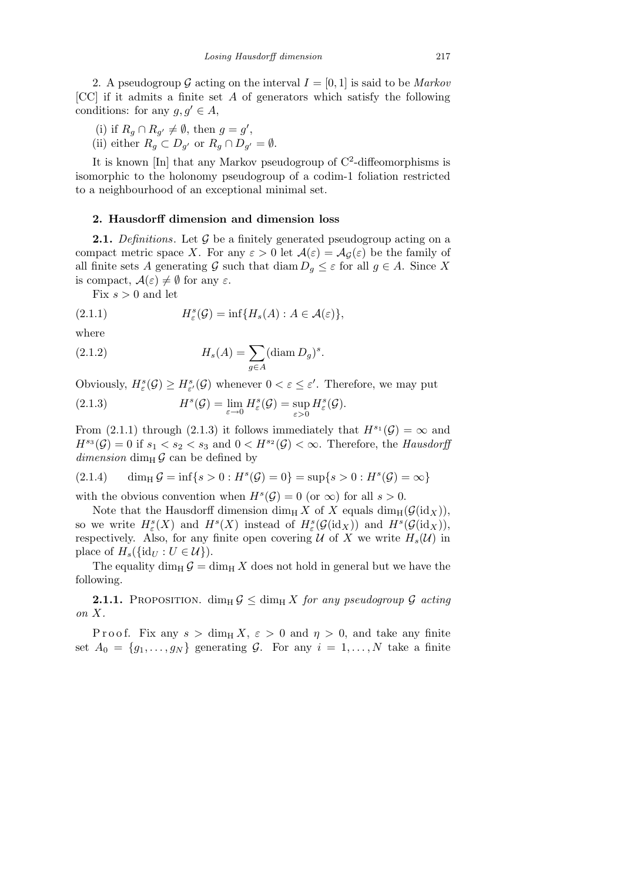2. A pseudogroup G acting on the interval  $I = [0, 1]$  is said to be *Markov* [CC] if it admits a finite set A of generators which satisfy the following conditions: for any  $q, q' \in A$ ,

- (i) if  $R_g \cap R_{g'} \neq \emptyset$ , then  $g = g'$ ,
- (ii) either  $R_g \subset D_{g'}$  or  $R_g \cap D_{g'} = \emptyset$ .

It is known [In] that any Markov pseudogroup of C<sup>2</sup>-diffeomorphisms is isomorphic to the holonomy pseudogroup of a codim-1 foliation restricted to a neighbourhood of an exceptional minimal set.

#### 2. Hausdorff dimension and dimension loss

**2.1.** Definitions. Let  $\mathcal G$  be a finitely generated pseudogroup acting on a compact metric space X. For any  $\varepsilon > 0$  let  $\mathcal{A}(\varepsilon) = \mathcal{A}_{\mathcal{G}}(\varepsilon)$  be the family of all finite sets A generating G such that  $\dim D_g \leq \varepsilon$  for all  $g \in A$ . Since X is compact,  $\mathcal{A}(\varepsilon) \neq \emptyset$  for any  $\varepsilon$ .

Fix  $s > 0$  and let

(2.1.1) 
$$
H_{\varepsilon}^{s}(\mathcal{G}) = \inf\{H_{s}(A) : A \in \mathcal{A}(\varepsilon)\},
$$

where

(2.1.2) 
$$
H_s(A) = \sum_{g \in A} (\text{diam } D_g)^s.
$$

Obviously,  $H^s_{\varepsilon}(\mathcal{G}) \geq H^s_{\varepsilon'}(\mathcal{G})$  whenever  $0 < \varepsilon \leq \varepsilon'$ . Therefore, we may put  $(2.1.3)$  $(\mathcal{G}) = \lim_{\varepsilon \to 0} H_{\varepsilon}^{s}(\mathcal{G}) = \sup_{\varepsilon > 0}$ ε>0  $H^s_{\varepsilon}(\mathcal{G}).$ 

From (2.1.1) through (2.1.3) it follows immediately that  $H^{s_1}(\mathcal{G}) = \infty$  and  $H^{s_3}(\mathcal{G}) = 0$  if  $s_1 < s_2 < s_3$  and  $0 < H^{s_2}(\mathcal{G}) < \infty$ . Therefore, the Hausdorff dimension dim<sub>H</sub>  $\mathcal{G}$  can be defined by

(2.1.4) 
$$
\dim_{\text{H}} \mathcal{G} = \inf \{ s > 0 : H^s(\mathcal{G}) = 0 \} = \sup \{ s > 0 : H^s(\mathcal{G}) = \infty \}
$$

with the obvious convention when  $H^{s}(\mathcal{G}) = 0$  (or  $\infty$ ) for all  $s > 0$ .

Note that the Hausdorff dimension dim<sub>H</sub> X of X equals dim<sub>H</sub>( $\mathcal{G}(\text{id}_X)$ ), so we write  $H^s_{\varepsilon}(X)$  and  $H^s(X)$  instead of  $H^s_{\varepsilon}(\mathcal{G}(\mathrm{id}_X))$  and  $H^s(\mathcal{G}(\mathrm{id}_X)),$ respectively. Also, for any finite open covering U of X we write  $H_s(\mathcal{U})$  in place of  $H_s({\rm id}_U:U\in\mathcal{U})$ .

The equality dim<sub>H</sub>  $\mathcal{G} = \dim_H X$  does not hold in general but we have the following.

**2.1.1.** PROPOSITION.  $\dim_H \mathcal{G} \leq \dim_H X$  for any pseudogroup  $\mathcal{G}$  acting on X.

P r o o f. Fix any  $s > \dim_{\text{H}} X$ ,  $\varepsilon > 0$  and  $\eta > 0$ , and take any finite set  $A_0 = \{g_1, \ldots, g_N\}$  generating G. For any  $i = 1, \ldots, N$  take a finite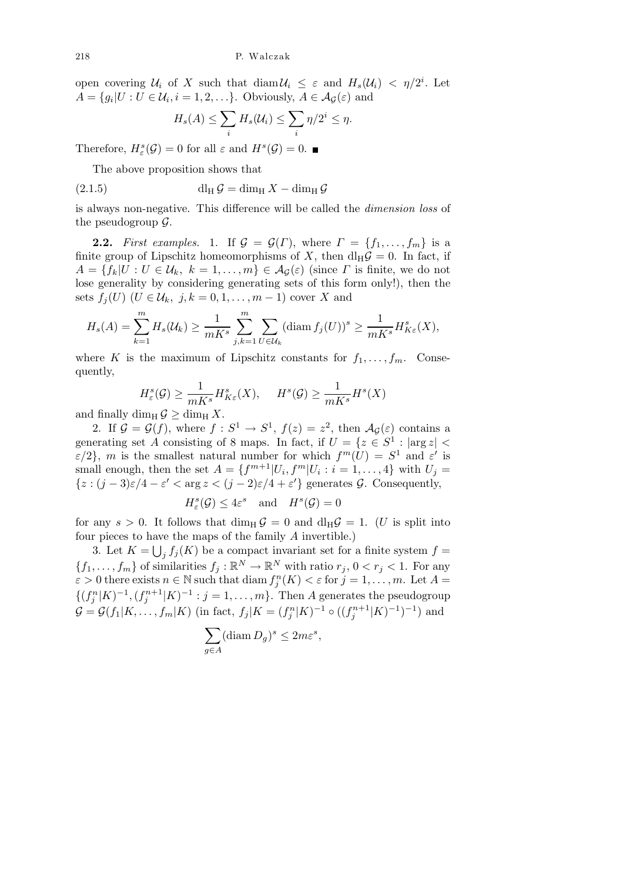open covering  $\mathcal{U}_i$  of X such that  $\text{diam}\,\mathcal{U}_i \leq \varepsilon$  and  $H_s(\mathcal{U}_i) < \eta/2^i$ . Let  $A = \{g_i | U : U \in \mathcal{U}_i, i = 1, 2, \ldots\}$ . Obviously,  $A \in \mathcal{A}_{\mathcal{G}}(\varepsilon)$  and

$$
H_s(A) \le \sum_i H_s(\mathcal{U}_i) \le \sum_i \eta/2^i \le \eta.
$$

Therefore,  $H_{\varepsilon}^{s}(\mathcal{G})=0$  for all  $\varepsilon$  and  $H^{s}(\mathcal{G})=0$ .

The above proposition shows that

(2.1.5) 
$$
\mathrm{d}\mathrm{l}_{\mathrm{H}}\,\mathcal{G}=\mathrm{dim}_{\mathrm{H}}\,X-\mathrm{dim}_{\mathrm{H}}\,\mathcal{G}
$$

is always non-negative. This difference will be called the dimension loss of the pseudogroup  $\mathcal{G}$ .

**2.2.** First examples. 1. If  $\mathcal{G} = \mathcal{G}(\Gamma)$ , where  $\Gamma = \{f_1, \ldots, f_m\}$  is a finite group of Lipschitz homeomorphisms of X, then  $dl_H\mathcal{G}=0$ . In fact, if  $A = \{f_k | U : U \in \mathcal{U}_k, k = 1, \ldots, m\} \in \mathcal{A}_{\mathcal{G}}(\varepsilon)$  (since  $\Gamma$  is finite, we do not lose generality by considering generating sets of this form only!), then the sets  $f_i(U)$   $(U \in \mathcal{U}_k, j, k = 0, 1, \ldots, m-1)$  cover X and

$$
H_s(A) = \sum_{k=1}^m H_s(\mathcal{U}_k) \ge \frac{1}{mK^s} \sum_{j,k=1}^m \sum_{U \in \mathcal{U}_k} (\text{diam } f_j(U))^s \ge \frac{1}{mK^s} H^s_{K\varepsilon}(X),
$$

where K is the maximum of Lipschitz constants for  $f_1, \ldots, f_m$ . Consequently,

$$
H^s_{\varepsilon}(\mathcal{G}) \ge \frac{1}{mK^s} H^s_{K\varepsilon}(X), \quad H^s(\mathcal{G}) \ge \frac{1}{mK^s} H^s(X)
$$

and finally dim<sub>H</sub>  $\mathcal{G} \ge \dim_H X$ .

2. If  $\mathcal{G} = \mathcal{G}(f)$ , where  $f: S^1 \to S^1$ ,  $f(z) = z^2$ , then  $\mathcal{A}_{\mathcal{G}}(\varepsilon)$  contains a generating set A consisting of 8 maps. In fact, if  $U = \{z \in S^1 : |\arg z|$  $\varepsilon/2$ , m is the smallest natural number for which  $f^m(U) = S^1$  and  $\varepsilon'$  is small enough, then the set  $A = \{f^{m+1}|U_i, f^m|U_i : i = 1, ..., 4\}$  with  $U_j =$  ${z : (j-3)\varepsilon/4 - \varepsilon' < \arg z < (j-2)\varepsilon/4 + \varepsilon'}$  generates  $\mathcal{G}$ . Consequently,

$$
H_{\varepsilon}^{s}(\mathcal{G}) \le 4\varepsilon^{s} \quad \text{and} \quad H^{s}(\mathcal{G}) = 0
$$

for any  $s > 0$ . It follows that  $\dim_H \mathcal{G} = 0$  and  $\dim_H \mathcal{G} = 1$ . (U is split into four pieces to have the maps of the family A invertible.)

3. Let  $K = \bigcup_j f_j(K)$  be a compact invariant set for a finite system  $f =$  $\{f_1, \ldots, f_m\}$  of similarities  $f_j : \mathbb{R}^N \to \mathbb{R}^N$  with ratio  $r_j$ ,  $0 < r_j < 1$ . For any  $\varepsilon > 0$  there exists  $n \in \mathbb{N}$  such that  $\text{diam } f_j^n(K) < \varepsilon$  for  $j = 1, \ldots, m$ . Let  $A =$  $\{(f_j^n|K)^{-1},(f_j^{n+1}|K)^{-1}:j=1,\ldots,m\}$ . Then A generates the pseudogroup  $\mathcal{G} = \mathcal{G}(f_1 | K, \dots, f_m | K)$  (in fact,  $f_j | K = (f_j^n | K)^{-1} \circ ((f_j^{n+1} | K)^{-1})^{-1})$  and

$$
\sum_{g \in A} (\operatorname{diam} D_g)^s \le 2m\varepsilon^s,
$$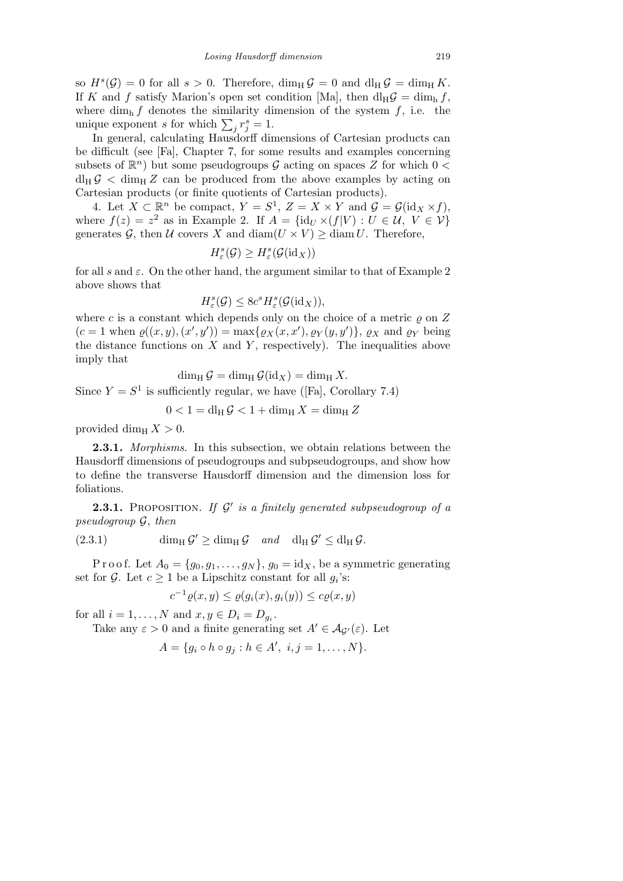so  $H^s(\mathcal{G}) = 0$  for all  $s > 0$ . Therefore,  $\dim_H \mathcal{G} = 0$  and  $\dim_H \mathcal{G} = \dim_H K$ . If K and f satisfy Marion's open set condition [Ma], then  $dl_H G = \dim_h f$ , where dim<sub>h</sub> f denotes the similarity dimension of the system f, i.e. the unique exponent s for which  $\sum_j r_j^s = 1$ .

In general, calculating Hausdorff dimensions of Cartesian products can be difficult (see [Fa], Chapter 7, for some results and examples concerning subsets of  $\mathbb{R}^n$ ) but some pseudogroups  $\mathcal G$  acting on spaces Z for which  $0 <$  $d_H G < \dim_H Z$  can be produced from the above examples by acting on Cartesian products (or finite quotients of Cartesian products).

4. Let  $X \subset \mathbb{R}^n$  be compact,  $Y = S^1$ ,  $Z = X \times Y$  and  $\mathcal{G} = \mathcal{G}(\mathrm{id}_X \times f)$ , where  $f(z) = z^2$  as in Example 2. If  $A = \{ id_U \times (f|V) : U \in \mathcal{U}, V \in \mathcal{V} \}$ generates G, then U covers X and  $\text{diam}(U \times V) \ge \text{diam} U$ . Therefore,

$$
H_{\varepsilon}^{s}(\mathcal{G})\geq H_{\varepsilon}^{s}(\mathcal{G}(\text{id}_{X}))
$$

for all s and  $\varepsilon$ . On the other hand, the argument similar to that of Example 2 above shows that

$$
H_{\varepsilon}^{s}(\mathcal{G}) \leq 8c^{s}H_{\varepsilon}^{s}(\mathcal{G}(\mathrm{id}_{X})),
$$

where c is a constant which depends only on the choice of a metric  $\rho$  on Z  $(c=1 \text{ when } \varrho((x,y),(x',y')) = \max\{\varrho_X(x,x'),\varrho_Y(y,y')\}, \varrho_X \text{ and } \varrho_Y \text{ being}$ the distance functions on  $X$  and  $Y$ , respectively). The inequalities above imply that

$$
\dim_{\mathrm{H}} \mathcal{G} = \dim_{\mathrm{H}} \mathcal{G}(\mathrm{id}_X) = \dim_{\mathrm{H}} X.
$$

Since  $Y = S^1$  is sufficiently regular, we have ([Fa], Corollary 7.4)

$$
0 < 1 = \mathrm{d}{\mathrm{l}}_{\mathrm{H}}\mathcal{G} < 1 + \mathrm{dim}_{\mathrm{H}}X = \mathrm{dim}_{\mathrm{H}}Z
$$

provided dim<sub>H</sub>  $X > 0$ .

2.3.1. *Morphisms*. In this subsection, we obtain relations between the Hausdorff dimensions of pseudogroups and subpseudogroups, and show how to define the transverse Hausdorff dimension and the dimension loss for foliations.

**2.3.1.** PROPOSITION. If  $\mathcal{G}'$  is a finitely generated subpseudogroup of a pseudogroup G, then

(2.3.1)  $\dim_{\text{H}} \mathcal{G}' \ge \dim_{\text{H}} \mathcal{G} \text{ and } \dim_{\text{H}} \mathcal{G}' \le \dim_{\text{H}} \mathcal{G}.$ 

P r o o f. Let  $A_0 = \{g_0, g_1, \ldots, g_N\}$ ,  $g_0 = \text{id}_X$ , be a symmetric generating set for  $\mathcal{G}$ . Let  $c \geq 1$  be a Lipschitz constant for all  $g_i$ 's:

$$
c^{-1}\varrho(x,y) \leq \varrho(g_i(x), g_i(y)) \leq c\varrho(x,y)
$$

for all  $i = 1, ..., N$  and  $x, y \in D_i = D_{g_i}$ .

Take any  $\varepsilon > 0$  and a finite generating set  $A' \in \mathcal{A}_{\mathcal{G}'}(\varepsilon)$ . Let

$$
A = \{g_i \circ h \circ g_j : h \in A', i, j = 1, \dots, N\}.
$$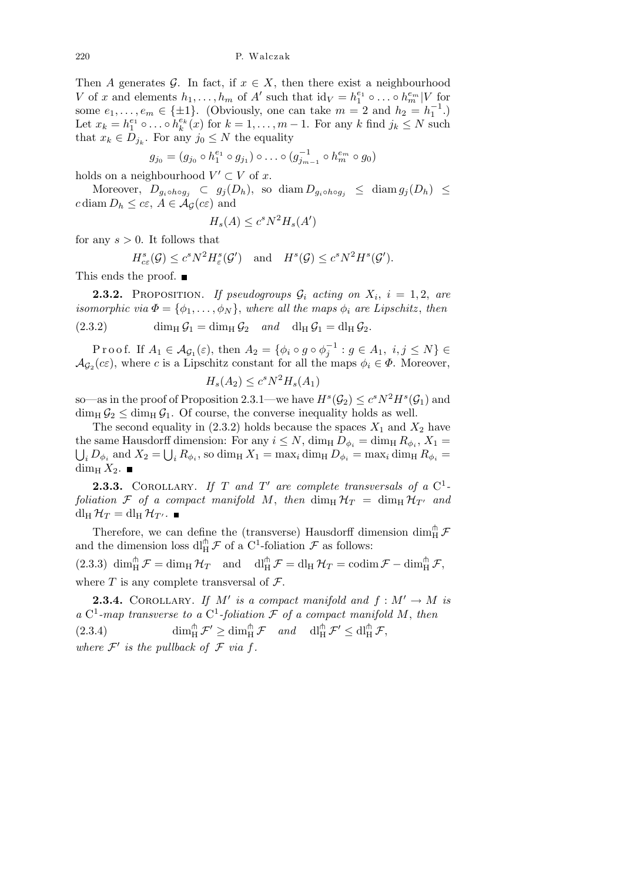Then A generates G. In fact, if  $x \in X$ , then there exist a neighbourhood V of x and elements  $h_1, \ldots, h_m$  of A' such that  $\mathrm{id}_V = h_1^{e_1} \circ \ldots \circ h_m^{e_m} | V$  for some  $e_1, \ldots, e_m \in \{\pm 1\}$ . (Obviously, one can take  $m = 2$  and  $h_2 = h_1^{-1}$ .) Let  $x_k = h_1^{e_1} \circ \dots \circ h_k^{e_k}(x)$  for  $k = 1, \dots, m-1$ . For any k find  $j_k \le N$  such that  $x_k \in D_{j_k}$ . For any  $j_0 \leq N$  the equality

$$
g_{j_0} = (g_{j_0} \circ h_1^{e_1} \circ g_{j_1}) \circ \dots \circ (g_{j_{m-1}}^{-1} \circ h_m^{e_m} \circ g_0)
$$

holds on a neighbourhood  $V' \subset V$  of x.

Moreover,  $D_{q_i \circ h \circ q_j} \subset g_j(D_h)$ , so diam  $D_{q_i \circ h \circ q_j} \leq \text{diam } g_j(D_h) \leq$ c diam  $D_h \leq c\varepsilon$ ,  $A \in \mathcal{A}_{\mathcal{G}}(c\varepsilon)$  and

$$
H_s(A) \le c^s N^2 H_s(A')
$$

for any  $s > 0$ . It follows that

$$
H_{c\varepsilon}^s(\mathcal{G}) \leq c^s N^2 H_{\varepsilon}^s(\mathcal{G}') \quad \text{and} \quad H^s(\mathcal{G}) \leq c^s N^2 H^s(\mathcal{G}').
$$

This ends the proof.  $\blacksquare$ 

**2.3.2.** PROPOSITION. If pseudogroups  $\mathcal{G}_i$  acting on  $X_i$ ,  $i = 1, 2$ , are isomorphic via  $\Phi = {\phi_1, \ldots, \phi_N}$ , where all the maps  $\phi_i$  are Lipschitz, then  $(2.3.2)$  dim<sub>H</sub>  $\mathcal{G}_1 = \dim_H \mathcal{G}_2$  and  $d_H \mathcal{G}_1 = d_H \mathcal{G}_2$ .

Proof. If  $A_1 \in \mathcal{A}_{\mathcal{G}_1}(\varepsilon)$ , then  $A_2 = \{ \phi_i \circ g \circ \phi_j^{-1} : g \in A_1, i, j \le N \} \in$  $\mathcal{A}_{\mathcal{G}_2}(c\varepsilon)$ , where c is a Lipschitz constant for all the maps  $\phi_i \in \Phi$ . Moreover,

$$
H_s(A_2) \le c^s N^2 H_s(A_1)
$$

so—as in the proof of Proposition 2.3.1—we have  $H^s(\mathcal{G}_2) \leq c^s N^2 H^s(\mathcal{G}_1)$  and  $\dim_{\text{H}} \mathcal{G}_2 \leq \dim_{\text{H}} \mathcal{G}_1$ . Of course, the converse inequality holds as well.

The second equality in (2.3.2) holds because the spaces  $X_1$  and  $X_2$  have the same Hausdorff dimension: For any  $i \leq N$ ,  $\dim_{\text{H}} D_{\phi_i} = \dim_{\text{H}} R_{\phi_i}$ ,  $X_1 =$ <br> $\Box D_{\phi_i}$  and  $X_2 = \Box R_{\phi_i}$ , so dim<sub>H</sub>  $X_1 = \max_i \dim_{\text{H}} D_{\phi_i} = \max_i \dim_{\text{H}} R_{\phi_i} =$  $i_L D_{\phi_i}$  and  $X_2 = \bigcup_i R_{\phi_i}$ , so dim<sub>H</sub>  $X_1 = \max_i \dim_H D_{\phi_i} = \max_i \dim_H R_{\phi_i} =$ dim<sub>H</sub>  $X_2$ .

**2.3.3.** COROLLARY. If T and T' are complete transversals of a  $C^1$ foliation F of a compact manifold M, then  $\dim_{\text{H}} \mathcal{H}_T = \dim_{\text{H}} \mathcal{H}_{T'}$  and  $dl_H$   $\mathcal{H}_T = dl_H$   $\mathcal{H}_{T'}$ .

Therefore, we can define the (transverse) Hausdorff dimension  $\dim_{\mathrm{H}}^\pitchfork \mathcal{F}$ and the dimension loss  $\text{d}\prod_{H}^{\uparrow} \mathcal{F}$  of a  $\text{C}^1$ -foliation  $\mathcal{F}$  as follows:

(2.3.3)  $\dim_H^{\pitchfork} \mathcal{F} = \dim_H \mathcal{H}_T$  and  $\dim_H^{\pitchfork} \mathcal{F} = \dim_H \mathcal{H}_T = \operatorname{codim} \mathcal{F} - \dim_H^{\pitchfork} \mathcal{F}$ , where  $T$  is any complete transversal of  $\mathcal{F}$ .

**2.3.4.** COROLLARY. If M' is a compact manifold and  $f : M' \to M$  is a  $C^1$ -map transverse to a  $C^1$ -foliation  $\mathcal F$  of a compact manifold M, then (2.3.4)  $\dim_H^{\hat{\mathfrak{m}}} \mathcal{F}' \geq \dim_H^{\hat{\mathfrak{m}}} \mathcal{F} \quad and \quad \dim_H^{\hat{\mathfrak{m}}} \mathcal{F}' \leq \dim_H^{\hat{\mathfrak{m}}} \mathcal{F},$ where  $\mathcal{F}'$  is the pullback of  $\mathcal F$  via f.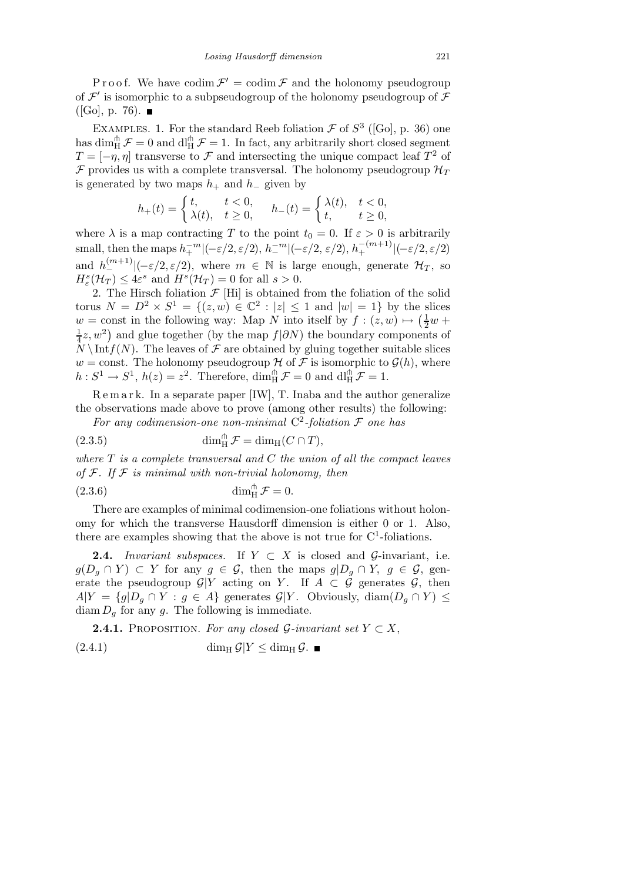Proof. We have codim  $\mathcal{F}' = \text{codim}\,\mathcal{F}$  and the holonomy pseudogroup of  $\mathcal{F}'$  is isomorphic to a subpseudogroup of the holonomy pseudogroup of  $\mathcal F$  $([Go], p. 76)$ .

EXAMPLES. 1. For the standard Reeb foliation  $\mathcal F$  of  $S^3$  ([Go], p. 36) one has dim  $_{\rm H}^{\uparrow}$   $\mathcal{F} = 0$  and dl<sub>H</sub>  $\mathcal{F} = 1$ . In fact, any arbitrarily short closed segment  $T = [-\eta, \eta]$  transverse to  $\mathcal F$  and intersecting the unique compact leaf  $T^2$  of F provides us with a complete transversal. The holonomy pseudogroup  $\mathcal{H}_T$ is generated by two maps  $h_+$  and  $h_-\,$  given by

$$
h_+(t) = \begin{cases} t, & t < 0, \\ \lambda(t), & t \ge 0, \end{cases} \quad h_-(t) = \begin{cases} \lambda(t), & t < 0, \\ t, & t \ge 0, \end{cases}
$$

where  $\lambda$  is a map contracting T to the point  $t_0 = 0$ . If  $\varepsilon > 0$  is arbitrarily small, then the maps  $h_+^{-m}|(-\varepsilon/2, \varepsilon/2), h_-^{-m}|(-\varepsilon/2, \varepsilon/2), h_+^{-(m+1)}|(-\varepsilon/2, \varepsilon/2)$ and  $h_{-}^{(m+1)}|(-\varepsilon/2, \varepsilon/2)$ , where  $m \in \mathbb{N}$  is large enough, generate  $\mathcal{H}_T$ , so  $H^s_{\varepsilon}(\mathcal{H}_T) \leq 4\varepsilon^s$  and  $H^s(\mathcal{H}_T) = 0$  for all  $s > 0$ .

2. The Hirsch foliation  $\mathcal{F}$  [Hi] is obtained from the foliation of the solid torus  $N = D^2 \times S^1 = \{(z, w) \in \mathbb{C}^2 : |z| \le 1 \text{ and } |w| = 1\}$  by the slices  $w = \text{const}$  in the following way: Map N into itself by  $f : (z, w) \mapsto (\frac{1}{2}w +$ 1  $\frac{1}{4}z, w^2$ ) and glue together (by the map  $f|\partial N$ ) the boundary components of  $\hat{N} \setminus \text{Int } f(N)$ . The leaves of F are obtained by gluing together suitable slices w = const. The holonomy pseudogroup H of F is isomorphic to  $\mathcal{G}(h)$ , where  $h: S^1 \to S^1$ ,  $h(z) = z^2$ . Therefore,  $\dim_H^{\mathfrak{m}} \mathcal{F} = 0$  and  $\dim_H^{\mathfrak{m}} \mathcal{F} = 1$ .

R e m a r k. In a separate paper [IW], T. Inaba and the author generalize the observations made above to prove (among other results) the following:

For any codimension-one non-minimal  $C^2$ -foliation  $\mathcal F$  one has

(2.3.5) 
$$
\dim_{\mathrm{H}}^{\mathrm{fh}} \mathcal{F} = \dim_{\mathrm{H}} (C \cap T),
$$

where  $T$  is a complete transversal and  $C$  the union of all the compact leaves of  $\mathcal F$ . If  $\mathcal F$  is minimal with non-trivial holonomy, then

$$
\dim_{\mathrm{H}}^{\pitchfork} \mathcal{F} = 0.
$$

There are examples of minimal codimension-one foliations without holonomy for which the transverse Hausdorff dimension is either 0 or 1. Also, there are examples showing that the above is not true for  $C<sup>1</sup>$ -foliations.

**2.4.** Invariant subspaces. If  $Y \subset X$  is closed and G-invariant, i.e.  $g(D_g \cap Y) \subset Y$  for any  $g \in \mathcal{G}$ , then the maps  $g|D_g \cap Y$ ,  $g \in \mathcal{G}$ , generate the pseudogroup  $\mathcal{G}|Y$  acting on Y. If  $A \subset \mathcal{G}$  generates  $\mathcal{G}$ , then  $A|Y = \{g|D_q \cap Y : g \in A\}$  generates  $\mathcal{G}|Y$ . Obviously, diam $(D_q \cap Y) \leq$  $\dim D_g$  for any g. The following is immediate.

**2.4.1.** PROPOSITION. For any closed G-invariant set  $Y \subset X$ ,  $(2.4.1)$  dim<sub>H</sub>  $\mathcal{G}|Y \leq \dim_H \mathcal{G}$ .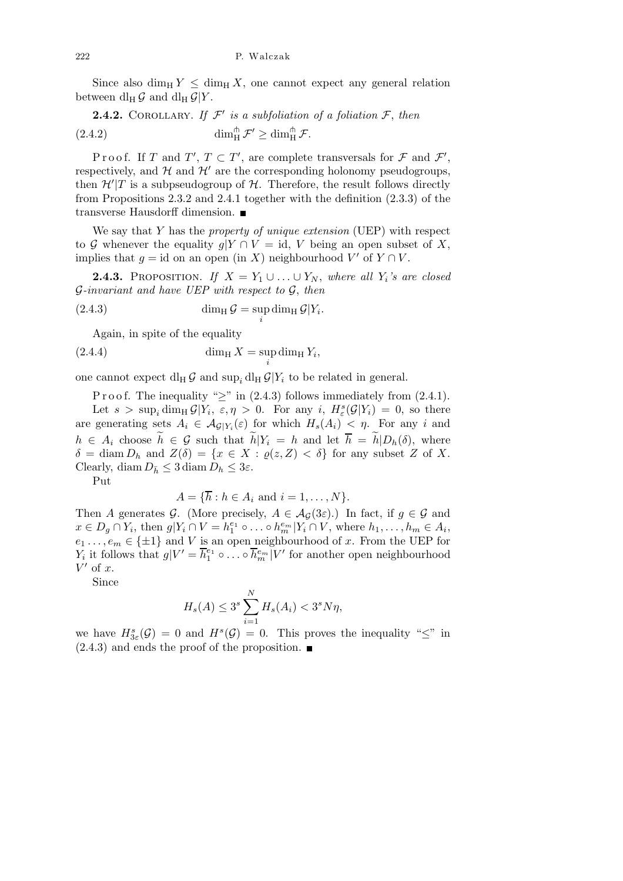Since also dim<sub>H</sub>  $Y \leq$  dim<sub>H</sub>  $X$ , one cannot expect any general relation between dl<sub>H</sub>  $\mathcal{G}$  and dl<sub>H</sub>  $\mathcal{G}|Y$ .

**2.4.2.** COROLLARY. If  $\mathcal{F}'$  is a subfoliation of a foliation  $\mathcal{F}$ , then (2.4.2)  $\dim_H^{\pitchfork} \mathcal{F}' \geq \dim_H^{\pitchfork} \mathcal{F}.$ 

Proof. If T and  $T'$ ,  $T \subset T'$ , are complete transversals for F and  $\mathcal{F}'$ , respectively, and  $H$  and  $H'$  are the corresponding holonomy pseudogroups, then  $\mathcal{H}'|T$  is a subpseudogroup of  $\mathcal{H}$ . Therefore, the result follows directly from Propositions 2.3.2 and 2.4.1 together with the definition (2.3.3) of the transverse Hausdorff dimension.

We say that Y has the *property of unique extension* (UEP) with respect to G whenever the equality  $g|Y \cap V = id$ , V being an open subset of X, implies that  $g = id$  on an open (in X) neighbourhood  $V'$  of  $Y \cap V$ .

**2.4.3.** PROPOSITION. If  $X = Y_1 \cup ... \cup Y_N$ , where all  $Y_i$ 's are closed  $\mathcal{G}\text{-}invariant and have UEP with respect to } \mathcal{G}, then$ 

(2.4.3) 
$$
\dim_{\mathrm{H}} \mathcal{G} = \sup_{i} \dim_{\mathrm{H}} \mathcal{G} | Y_{i}.
$$

Again, in spite of the equality

$$
\dim_{\mathrm{H}} X = \sup_{i} \dim_{\mathrm{H}} Y_i,
$$

one cannot expect  $\mathrm{d}_{\mathrm{H}} \mathcal{G}$  and  $\mathrm{sup}_{i} \mathrm{d}_{\mathrm{H}} \mathcal{G}|Y_i$  to be related in general.

P r o o f. The inequality " $>$ " in (2.4.3) follows immediately from (2.4.1). Let  $s > \sup_i \dim_H \mathcal{G}|Y_i, \varepsilon, \eta > 0$ . For any i,  $H^s_{\varepsilon}(\mathcal{G}|Y_i) = 0$ , so there are generating sets  $A_i \in \mathcal{A}_{\mathcal{G}|Y_i}(\varepsilon)$  for which  $H_s(A_i) < \eta$ . For any i and  $h \in A_i$  choose  $\widetilde{h} \in \mathcal{G}$  such that  $\widetilde{h}|Y_i = h$  and let  $\overline{h} = \widetilde{h}|D_h(\delta)$ , where  $\delta = \text{diam } D_h$  and  $Z(\delta) = \{x \in X : \varrho(z, Z) < \delta\}$  for any subset Z of X. Clearly, diam  $D_{\bar{h}} \leq 3 \operatorname{diam} D_h \leq 3\varepsilon$ .

Put

$$
A = \{\overline{h} : h \in A_i \text{ and } i = 1, \dots, N\}.
$$

Then A generates G. (More precisely,  $A \in \mathcal{A}_{\mathcal{G}}(3\varepsilon)$ .) In fact, if  $g \in \mathcal{G}$  and  $x \in D_g \cap Y_i$ , then  $g|Y_i \cap V = h_1^{e_1} \circ \dots \circ h_m^{e_m}|Y_i \cap V$ , where  $h_1, \dots, h_m \in A_i$ ,  $e_1 \ldots, e_m \in \{\pm 1\}$  and V is an open neighbourhood of x. From the UEP for  $Y_i$  it follows that  $g|V' = \overline{h}_1^{e_1} \circ \dots \circ \overline{h}_m^{e_m}|V'$  for another open neighbourhood  $V'$  of x.

Since

$$
H_s(A) \le 3^s \sum_{i=1}^{N} H_s(A_i) < 3^s N \eta,
$$

we have  $H_{3\varepsilon}^s(\mathcal{G}) = 0$  and  $H^s(\mathcal{G}) = 0$ . This proves the inequality " $\leq$ " in  $(2.4.3)$  and ends the proof of the proposition.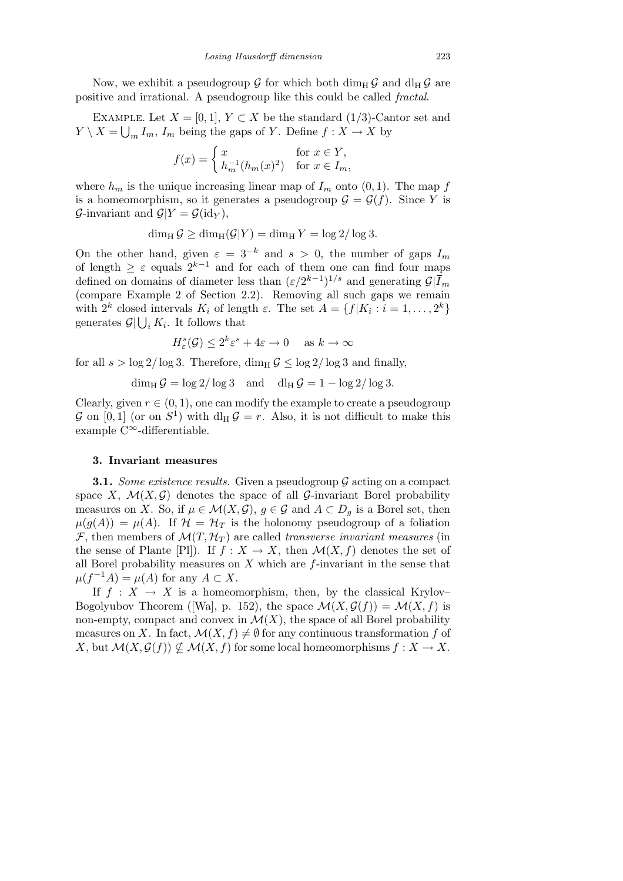Now, we exhibit a pseudogroup  $\mathcal G$  for which both dim<sub>H</sub>  $\mathcal G$  and dl<sub>H</sub>  $\mathcal G$  are positive and irrational. A pseudogroup like this could be called fractal.

EXAMPLE. Let  $X = [0, 1], Y \subset X$  be the standard (1/3)-Cantor set and  $Y \setminus X = \bigcup_m I_m$ ,  $I_m$  being the gaps of Y. Define  $f : X \to X$  by

$$
f(x) = \begin{cases} x & \text{for } x \in Y, \\ h_m^{-1}(h_m(x)^2) & \text{for } x \in I_m, \end{cases}
$$

where  $h_m$  is the unique increasing linear map of  $I_m$  onto  $(0, 1)$ . The map f is a homeomorphism, so it generates a pseudogroup  $\mathcal{G} = \mathcal{G}(f)$ . Since Y is G-invariant and  $\mathcal{G}|Y = \mathcal{G}(\text{id}_Y)$ ,

 $\dim_{\rm H} \mathcal{G} \ge \dim_{\rm H}(\mathcal{G}|Y) = \dim_{\rm H} Y = \log 2/\log 3.$ 

On the other hand, given  $\varepsilon = 3^{-k}$  and  $s > 0$ , the number of gaps  $I_m$ of length  $\geq \varepsilon$  equals  $2^{k-1}$  and for each of them one can find four maps defined on domains of diameter less than  $(\varepsilon/2^{k-1})^{1/s}$  and generating  $\mathcal{G}|\overline{I}_m$ (compare Example 2 of Section 2.2). Removing all such gaps we remain with  $2^k$  closed intervals  $K_i$  of length  $\varepsilon$ . The set  $A = \{f | K_i : i = 1, ..., 2^k\}$ generates  $\mathcal{G} | \bigcup_i K_i$ . It follows that

$$
H_{\varepsilon}^{s}(\mathcal{G}) \le 2^{k} \varepsilon^{s} + 4\varepsilon \to 0 \quad \text{as } k \to \infty
$$

for all  $s > \log 2/\log 3$ . Therefore,  $\dim_H \mathcal{G} \leq \log 2/\log 3$  and finally,

$$
\dim_{\mathrm{H}} \mathcal{G} = \log 2 / \log 3 \quad \text{and} \quad \mathrm{d} l_{\mathrm{H}} \mathcal{G} = 1 - \log 2 / \log 3.
$$

Clearly, given  $r \in (0, 1)$ , one can modify the example to create a pseudogroup G on [0,1] (or on  $S^1$ ) with  $\mathrm{d}_{\mathrm{H}}\,\mathcal{G}=r$ . Also, it is not difficult to make this example C<sup>∞</sup>-differentiable.

### 3. Invariant measures

**3.1.** Some existence results. Given a pseudogroup  $G$  acting on a compact space X,  $\mathcal{M}(X, \mathcal{G})$  denotes the space of all  $\mathcal{G}$ -invariant Borel probability measures on X. So, if  $\mu \in \mathcal{M}(X,\mathcal{G})$ ,  $g \in \mathcal{G}$  and  $A \subset D_g$  is a Borel set, then  $\mu(g(A)) = \mu(A)$ . If  $\mathcal{H} = \mathcal{H}_T$  is the holonomy pseudogroup of a foliation F, then members of  $\mathcal{M}(T, \mathcal{H}_T)$  are called transverse invariant measures (in the sense of Plante [Pl]). If  $f : X \to X$ , then  $\mathcal{M}(X, f)$  denotes the set of all Borel probability measures on  $X$  which are  $f$ -invariant in the sense that  $\mu(f^{-1}A) = \mu(A)$  for any  $A \subset X$ .

If  $f : X \to X$  is a homeomorphism, then, by the classical Krylov– Bogolyubov Theorem ([Wa], p. 152), the space  $\mathcal{M}(X, \mathcal{G}(f)) = \mathcal{M}(X, f)$  is non-empty, compact and convex in  $\mathcal{M}(X)$ , the space of all Borel probability measures on X. In fact,  $\mathcal{M}(X, f) \neq \emptyset$  for any continuous transformation f of X, but  $\mathcal{M}(X, \mathcal{G}(f)) \nsubseteq \mathcal{M}(X, f)$  for some local homeomorphisms  $f : X \to X$ .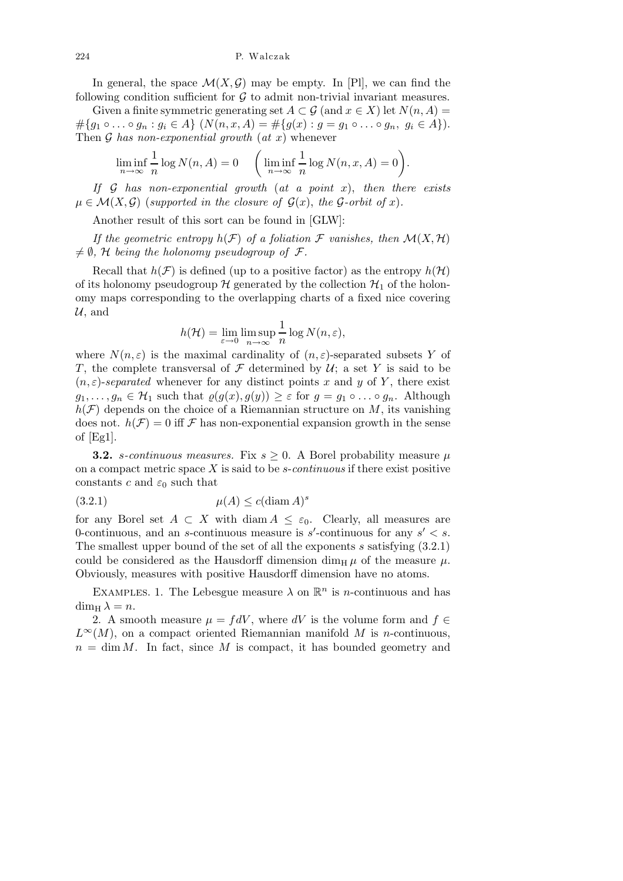In general, the space  $\mathcal{M}(X,\mathcal{G})$  may be empty. In [Pl], we can find the following condition sufficient for  $G$  to admit non-trivial invariant measures.

Given a finite symmetric generating set  $A \subset \mathcal{G}$  (and  $x \in X$ ) let  $N(n, A) =$  $\#\{g_1 \circ \ldots \circ g_n : g_i \in A\} \ (N(n, x, A) = \#\{g(x) : g = g_1 \circ \ldots \circ g_n, \ g_i \in A\}).$ Then  $\mathcal G$  has non-exponential growth  $(at x)$  whenever

$$
\liminf_{n \to \infty} \frac{1}{n} \log N(n, A) = 0 \quad \left( \liminf_{n \to \infty} \frac{1}{n} \log N(n, x, A) = 0 \right).
$$

If  $G$  has non-exponential growth (at a point x), then there exists  $\mu \in \mathcal{M}(X,\mathcal{G})$  (supported in the closure of  $\mathcal{G}(x)$ , the G-orbit of x).

Another result of this sort can be found in [GLW]:

If the geometric entropy  $h(\mathcal{F})$  of a foliation  $\mathcal F$  vanishes, then  $\mathcal M(X,\mathcal H)$  $\neq \emptyset$ , H being the holonomy pseudogroup of F.

Recall that  $h(\mathcal{F})$  is defined (up to a positive factor) as the entropy  $h(\mathcal{H})$ of its holonomy pseudogroup  $H$  generated by the collection  $\mathcal{H}_1$  of the holonomy maps corresponding to the overlapping charts of a fixed nice covering  $\mathcal{U}$ , and

$$
h(\mathcal{H}) = \lim_{\varepsilon \to 0} \limsup_{n \to \infty} \frac{1}{n} \log N(n, \varepsilon),
$$

where  $N(n,\varepsilon)$  is the maximal cardinality of  $(n,\varepsilon)$ -separated subsets Y of T, the complete transversal of  $\mathcal F$  determined by  $\mathcal U$ ; a set Y is said to be  $(n, \varepsilon)$ -separated whenever for any distinct points x and y of Y, there exist  $g_1, \ldots, g_n \in \mathcal{H}_1$  such that  $\varrho(g(x), g(y)) \geq \varepsilon$  for  $g = g_1 \circ \ldots \circ g_n$ . Although  $h(\mathcal{F})$  depends on the choice of a Riemannian structure on M, its vanishing does not.  $h(\mathcal{F}) = 0$  iff  $\mathcal F$  has non-exponential expansion growth in the sense of  $|Eg1|$ .

**3.2.** s-continuous measures. Fix  $s \geq 0$ . A Borel probability measure  $\mu$ on a compact metric space  $X$  is said to be s-continuous if there exist positive constants c and  $\varepsilon_0$  such that

$$
(3.2.1) \quad \mu(A) \le c(\text{diam } A)^s
$$

for any Borel set  $A \subset X$  with diam  $A \leq \varepsilon_0$ . Clearly, all measures are 0-continuous, and an s-continuous measure is  $s'$ -continuous for any  $s' < s$ . The smallest upper bound of the set of all the exponents s satisfying  $(3.2.1)$ could be considered as the Hausdorff dimension dim<sub>H</sub>  $\mu$  of the measure  $\mu$ . Obviously, measures with positive Hausdorff dimension have no atoms.

EXAMPLES. 1. The Lebesgue measure  $\lambda$  on  $\mathbb{R}^n$  is *n*-continuous and has  $\dim_{\mathrm{H}} \lambda = n.$ 

2. A smooth measure  $\mu = fdV$ , where dV is the volume form and  $f \in$  $L^{\infty}(M)$ , on a compact oriented Riemannian manifold M is n-continuous,  $n = \dim M$ . In fact, since M is compact, it has bounded geometry and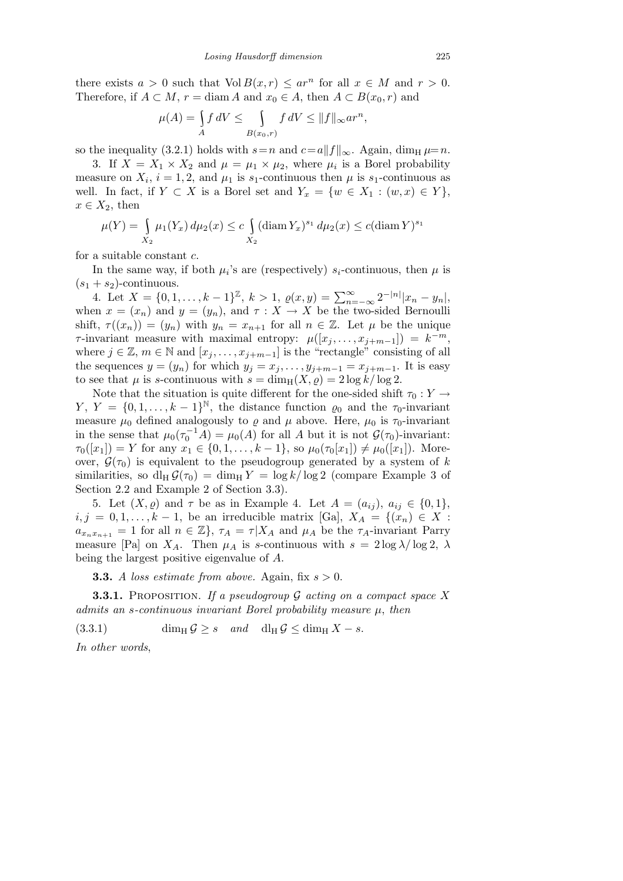there exists  $a > 0$  such that  $Vol B(x,r) \leq ar^n$  for all  $x \in M$  and  $r > 0$ . Therefore, if  $A \subset M$ ,  $r = \text{diam } A$  and  $x_0 \in A$ , then  $A \subset B(x_0, r)$  and

$$
\mu(A) = \int_A f dV \le \int_{B(x_0,r)} f dV \le ||f||_{\infty} ar^n,
$$

so the inequality (3.2.1) holds with  $s=n$  and  $c=a||f||_{\infty}$ . Again, dim<sub>H</sub>  $\mu=n$ .

3. If  $X = X_1 \times X_2$  and  $\mu = \mu_1 \times \mu_2$ , where  $\mu_i$  is a Borel probability measure on  $X_i$ ,  $i = 1, 2$ , and  $\mu_1$  is  $s_1$ -continuous then  $\mu$  is  $s_1$ -continuous as well. In fact, if  $Y \subset X$  is a Borel set and  $Y_x = \{w \in X_1 : (w, x) \in Y\},\$  $x \in X_2$ , then

$$
\mu(Y) = \int_{X_2} \mu_1(Y_x) d\mu_2(x) \le c \int_{X_2} (\text{diam}\, Y_x)^{s_1} d\mu_2(x) \le c (\text{diam}\, Y)^{s_1}
$$

for a suitable constant c.

In the same way, if both  $\mu_i$ 's are (respectively)  $s_i$ -continuous, then  $\mu$  is  $(s_1 + s_2)$ -continuous.

4. Let  $X = \{0, 1, \ldots, k-1\}^{\mathbb{Z}}, k > 1, \varrho(x, y) = \sum_{n=-\infty}^{\infty} 2^{-|n|} |x_n - y_n|,$ when  $x = (x_n)$  and  $y = (y_n)$ , and  $\tau : X \to X$  be the two-sided Bernoulli shift,  $\tau((x_n)) = (y_n)$  with  $y_n = x_{n+1}$  for all  $n \in \mathbb{Z}$ . Let  $\mu$  be the unique  $\tau$ -invariant measure with maximal entropy:  $\mu([x_j, \ldots, x_{j+m-1}]) = k^{-m}$ , where  $j \in \mathbb{Z}$ ,  $m \in \mathbb{N}$  and  $[x_j, \ldots, x_{j+m-1}]$  is the "rectangle" consisting of all the sequences  $y = (y_n)$  for which  $y_j = x_j, \ldots, y_{j+m-1} = x_{j+m-1}$ . It is easy to see that  $\mu$  is s-continuous with  $s = \dim_{\mathrm{H}}(X, \rho) = 2 \log k / \log 2$ .

Note that the situation is quite different for the one-sided shift  $\tau_0 : Y \to Y$  $Y, Y = \{0, 1, \ldots, k-1\}^{\mathbb{N}},$  the distance function  $\varrho_0$  and the  $\tau_0$ -invariant measure  $\mu_0$  defined analogously to  $\rho$  and  $\mu$  above. Here,  $\mu_0$  is  $\tau_0$ -invariant in the sense that  $\mu_0(\tau_0^{-1}A) = \mu_0(A)$  for all A but it is not  $\mathcal{G}(\tau_0)$ -invariant:  $\tau_0([x_1]) = Y$  for any  $x_1 \in \{0, 1, \ldots, k-1\}$ , so  $\mu_0(\tau_0[x_1]) \neq \mu_0([x_1])$ . Moreover,  $\mathcal{G}(\tau_0)$  is equivalent to the pseudogroup generated by a system of k similarities, so  $dl_H \mathcal{G}(\tau_0) = \dim_H Y = \log k / \log 2$  (compare Example 3 of Section 2.2 and Example 2 of Section 3.3).

5. Let  $(X, \varrho)$  and  $\tau$  be as in Example 4. Let  $A = (a_{ij}), a_{ij} \in \{0, 1\},\$  $i, j = 0, 1, \ldots, k - 1$ , be an irreducible matrix [Ga],  $X_A = \{(x_n) \in X :$  $a_{x_n x_{n+1}} = 1$  for all  $n \in \mathbb{Z}$ ,  $\tau_A = \tau | X_A$  and  $\mu_A$  be the  $\tau_A$ -invariant Parry measure [Pa] on  $X_A$ . Then  $\mu_A$  is s-continuous with  $s = 2 \log \lambda / \log 2$ ,  $\lambda$ being the largest positive eigenvalue of A.

**3.3.** A loss estimate from above. Again, fix  $s > 0$ .

**3.3.1.** PROPOSITION. If a pseudogroup  $\mathcal G$  acting on a compact space X admits an s-continuous invariant Borel probability measure  $\mu$ , then

(3.3.1) dim<sub>H</sub>  $\mathcal{G} \geq s$  and dl<sub>H</sub>  $\mathcal{G} \leq \dim_H X - s$ .

In other words,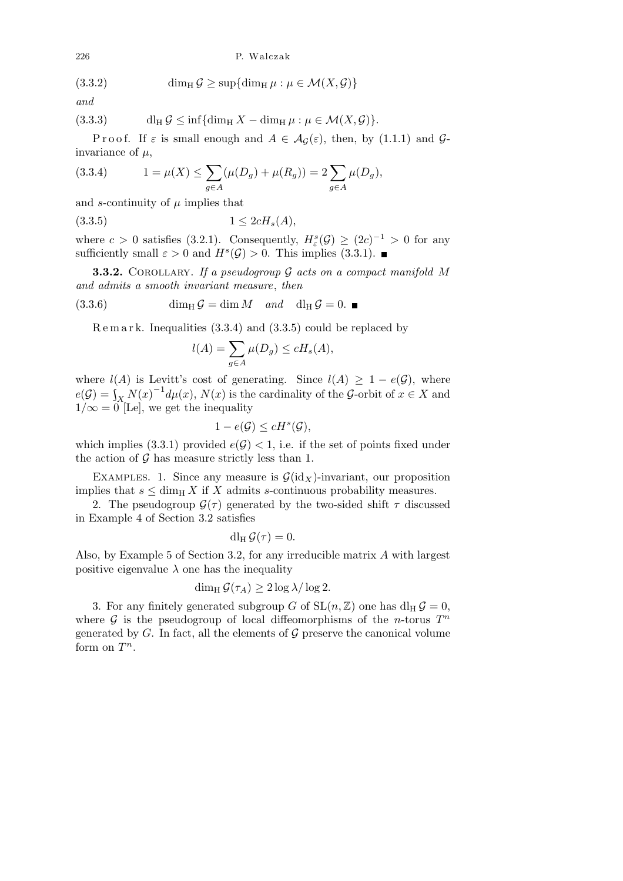#### 226 P. Walczak

(3.3.2) 
$$
\dim_{\mathrm{H}} \mathcal{G} \geq \sup \{ \dim_{\mathrm{H}} \mu : \mu \in \mathcal{M}(X, \mathcal{G}) \}
$$

and

(3.3.3) dl<sup>H</sup> G ≤ inf{dim<sup>H</sup> X − dim<sup>H</sup> µ : µ ∈ M(X, G)}.

P r o o f. If  $\varepsilon$  is small enough and  $A \in \mathcal{A}_{\mathcal{G}}(\varepsilon)$ , then, by (1.1.1) and  $\mathcal{G}$ invariance of  $\mu$ ,

(3.3.4) 
$$
1 = \mu(X) \le \sum_{g \in A} (\mu(D_g) + \mu(R_g)) = 2 \sum_{g \in A} \mu(D_g),
$$

and s-continuity of  $\mu$  implies that

$$
(3.3.5) \t1 \le 2cH_s(A),
$$

where  $c > 0$  satisfies (3.2.1). Consequently,  $H^s_\varepsilon(\mathcal{G}) \geq (2c)^{-1} > 0$  for any sufficiently small  $\varepsilon > 0$  and  $H^s(\mathcal{G}) > 0$ . This implies (3.3.1).

**3.3.2.** COROLLARY. If a pseudogroup  $\mathcal G$  acts on a compact manifold M and admits a smooth invariant measure, then

(3.3.6) 
$$
\dim_{\mathrm{H}} \mathcal{G} = \dim M \quad \text{and} \quad \mathrm{d} l_{\mathrm{H}} \mathcal{G} = 0.
$$

R e m a r k. Inequalities (3.3.4) and (3.3.5) could be replaced by

$$
l(A) = \sum_{g \in A} \mu(D_g) \le cH_s(A),
$$

where  $l(A)$  is Levitt's cost of generating. Since  $l(A) \geq 1 - e(\mathcal{G})$ , where  $e(\mathcal{G}) = \int_{X} N(x)^{-1} d\mu(x), N(x)$  is the cardinality of the G-orbit of  $x \in X$  and  $1/\infty = 0$  [Le], we get the inequality

$$
1 - e(\mathcal{G}) \le cH^s(\mathcal{G}),
$$

which implies (3.3.1) provided  $e(\mathcal{G}) < 1$ , i.e. if the set of points fixed under the action of  $\mathcal G$  has measure strictly less than 1.

EXAMPLES. 1. Since any measure is  $\mathcal{G}(\mathrm{id}_X)$ -invariant, our proposition implies that  $s \le \dim_{\text{H}} X$  if X admits s-continuous probability measures.

2. The pseudogroup  $\mathcal{G}(\tau)$  generated by the two-sided shift  $\tau$  discussed in Example 4 of Section 3.2 satisfies

$$
dl_H \mathcal{G}(\tau) = 0.
$$

Also, by Example 5 of Section 3.2, for any irreducible matrix A with largest positive eigenvalue  $\lambda$  one has the inequality

## $\dim_{\mathrm{H}} \mathcal{G}(\tau_A) \geq 2 \log \lambda / \log 2.$

3. For any finitely generated subgroup G of  $SL(n, \mathbb{Z})$  one has  $dl_H \mathcal{G} = 0$ , where  $\mathcal G$  is the pseudogroup of local diffeomorphisms of the *n*-torus  $T^n$ generated by G. In fact, all the elements of  $\mathcal G$  preserve the canonical volume form on  $T^n$ .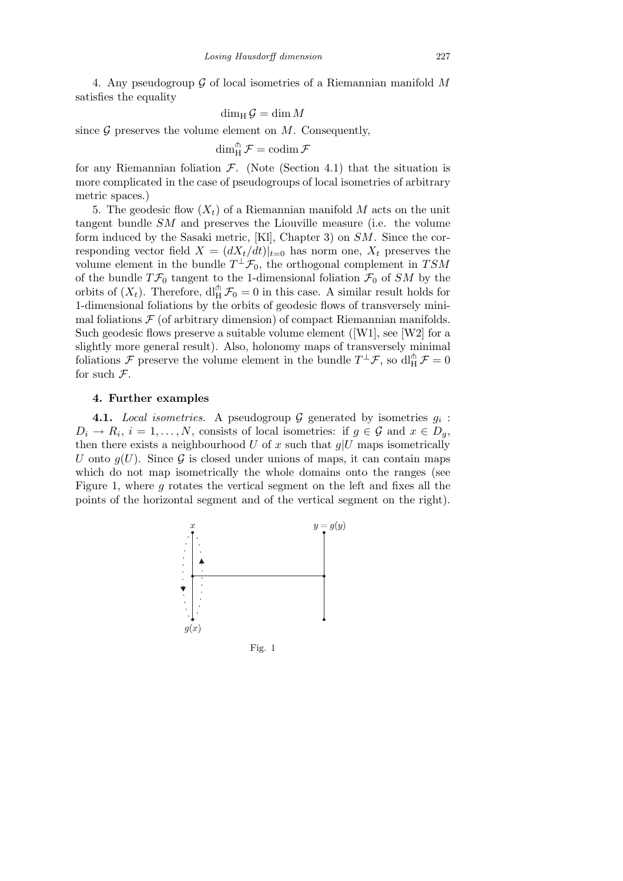4. Any pseudogroup  $G$  of local isometries of a Riemannian manifold M satisfies the equality

$$
\dim_{\mathrm{H}} \mathcal{G} = \dim M
$$

since  $G$  preserves the volume element on  $M$ . Consequently,

$$
\dim_H^{\pitchfork} \mathcal{F} = \operatorname{codim} \mathcal{F}
$$

for any Riemannian foliation  $\mathcal{F}$ . (Note (Section 4.1) that the situation is more complicated in the case of pseudogroups of local isometries of arbitrary metric spaces.)

5. The geodesic flow  $(X_t)$  of a Riemannian manifold M acts on the unit tangent bundle SM and preserves the Liouville measure (i.e. the volume form induced by the Sasaki metric, [Kl], Chapter 3) on  $SM$ . Since the corresponding vector field  $X = (dX_t/dt)|_{t=0}$  has norm one,  $X_t$  preserves the volume element in the bundle  $T^{\perp} \mathcal{F}_0$ , the orthogonal complement in  $TSM$ of the bundle  $T\mathcal{F}_0$  tangent to the 1-dimensional foliation  $\mathcal{F}_0$  of SM by the orbits of  $(X_t)$ . Therefore,  $\text{d}\prod_{H}^{n} \mathcal{F}_0 = 0$  in this case. A similar result holds for 1-dimensional foliations by the orbits of geodesic flows of transversely minimal foliations  $\mathcal F$  (of arbitrary dimension) of compact Riemannian manifolds. Such geodesic flows preserve a suitable volume element  $([W1], \text{see } [W2]$  for a slightly more general result). Also, holonomy maps of transversely minimal foliations  $\mathcal F$  preserve the volume element in the bundle  $T^{\perp} \mathcal F$ , so  $\text{d}\Pi_H^{\pitchfork} \mathcal F = 0$ for such  $\mathcal{F}.$ 

#### 4. Further examples

**4.1.** Local isometries. A pseudogroup G generated by isometries  $g_i$ :  $D_i \to R_i$ ,  $i = 1, ..., N$ , consists of local isometries: if  $g \in \mathcal{G}$  and  $x \in D_g$ , then there exists a neighbourhood U of x such that  $g|U$  maps isometrically U onto  $g(U)$ . Since G is closed under unions of maps, it can contain maps which do not map isometrically the whole domains onto the ranges (see Figure 1, where  $g$  rotates the vertical segment on the left and fixes all the points of the horizontal segment and of the vertical segment on the right).



Fig. 1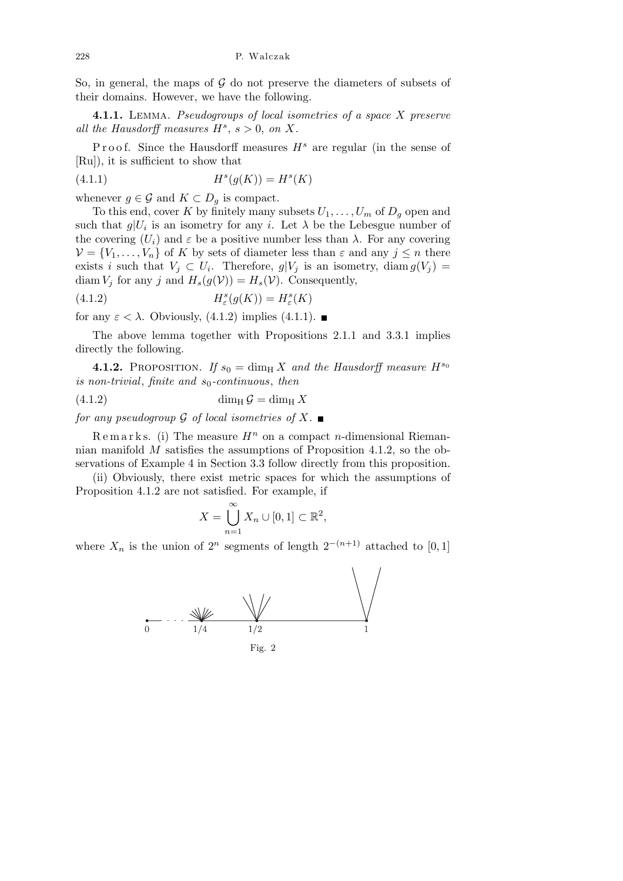So, in general, the maps of  $\mathcal G$  do not preserve the diameters of subsets of their domains. However, we have the following.

4.1.1. LEMMA. Pseudogroups of local isometries of a space X preserve all the Hausdorff measures  $H^s$ ,  $s > 0$ , on X.

Proof. Since the Hausdorff measures  $H<sup>s</sup>$  are regular (in the sense of [Ru]), it is sufficient to show that

$$
(4.1.1)\qquad \qquad H^s(g(K)) = H^s(K)
$$

whenever  $g \in \mathcal{G}$  and  $K \subset D_q$  is compact.

To this end, cover K by finitely many subsets  $U_1, \ldots, U_m$  of  $D_q$  open and such that  $g|U_i$  is an isometry for any i. Let  $\lambda$  be the Lebesgue number of the covering  $(U_i)$  and  $\varepsilon$  be a positive number less than  $\lambda$ . For any covering  $\mathcal{V} = \{V_1, \ldots, V_n\}$  of K by sets of diameter less than  $\varepsilon$  and any  $j \leq n$  there exists i such that  $V_j \subset U_i$ . Therefore,  $g|V_j$  is an isometry, diam  $g(V_j)$  = diam  $V_j$  for any j and  $H_s(g(\mathcal{V})) = H_s(\mathcal{V})$ . Consequently,

(4.1.2) 
$$
H^s_{\varepsilon}(g(K)) = H^s_{\varepsilon}(K)
$$

for any  $\varepsilon < \lambda$ . Obviously, (4.1.2) implies (4.1.1).

The above lemma together with Propositions 2.1.1 and 3.3.1 implies directly the following.

**4.1.2.** PROPOSITION. If  $s_0 = \dim_{\text{H}} X$  and the Hausdorff measure  $H^{s_0}$ is non-trivial, finite and  $s_0$ -continuous, then

$$
(4.1.2)\qquad \qquad \dim_{\mathrm{H}} \mathcal{G} = \dim_{\mathrm{H}} X
$$

for any pseudogroup  $\mathcal G$  of local isometries of  $X$ .

 $\mathbb{R}$  e m a r k s. (i) The measure  $H^n$  on a compact *n*-dimensional Riemannian manifold M satisfies the assumptions of Proposition 4.1.2, so the observations of Example 4 in Section 3.3 follow directly from this proposition.

(ii) Obviously, there exist metric spaces for which the assumptions of Proposition 4.1.2 are not satisfied. For example, if

$$
X = \bigcup_{n=1}^{\infty} X_n \cup [0,1] \subset \mathbb{R}^2,
$$

where  $X_n$  is the union of  $2^n$  segments of length  $2^{-(n+1)}$  attached to [0, 1]

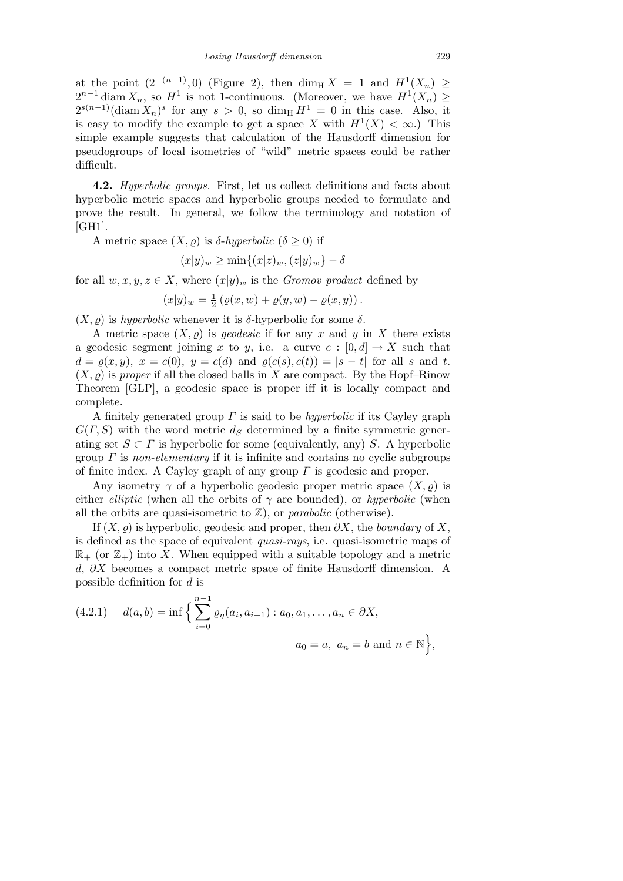at the point  $(2^{-(n-1)},0)$  (Figure 2), then  $\dim_{\mathcal{H}} X = 1$  and  $H^1(X_n) \geq$  $2^{n-1}$  diam  $X_n$ , so  $H^1$  is not 1-continuous. (Moreover, we have  $H^1(X_n) \geq$  $2^{s(n-1)}(\text{diam }X_n)^s$  for any  $s>0$ , so  $\dim_\text{H} H^1 = 0$  in this case. Also, it is easy to modify the example to get a space X with  $H^1(X) < \infty$ .) This simple example suggests that calculation of the Hausdorff dimension for pseudogroups of local isometries of "wild" metric spaces could be rather difficult.

4.2. Hyperbolic groups. First, let us collect definitions and facts about hyperbolic metric spaces and hyperbolic groups needed to formulate and prove the result. In general, we follow the terminology and notation of [GH1].

A metric space  $(X, \varrho)$  is  $\delta$ -hyperbolic  $(\delta \geq 0)$  if

$$
(x|y)_w \ge \min\{(x|z)_w, (z|y)_w\} - \delta
$$

for all  $w, x, y, z \in X$ , where  $(x|y)_w$  is the *Gromov product* defined by

$$
(x|y)_{w} = \frac{1}{2} (\varrho(x, w) + \varrho(y, w) - \varrho(x, y)).
$$

 $(X, \rho)$  is hyperbolic whenever it is  $\delta$ -hyperbolic for some  $\delta$ .

A metric space  $(X, \rho)$  is *geodesic* if for any x and y in X there exists a geodesic segment joining x to y, i.e. a curve  $c : [0, d] \to X$  such that  $d = \rho(x, y), x = c(0), y = c(d)$  and  $\rho(c(s), c(t)) = |s - t|$  for all s and t.  $(X, \rho)$  is proper if all the closed balls in X are compact. By the Hopf–Rinow Theorem [GLP], a geodesic space is proper iff it is locally compact and complete.

A finitely generated group  $\Gamma$  is said to be *hyperbolic* if its Cayley graph  $G(\Gamma, S)$  with the word metric  $d_S$  determined by a finite symmetric generating set  $S \subset \Gamma$  is hyperbolic for some (equivalently, any) S. A hyperbolic group  $\Gamma$  is non-elementary if it is infinite and contains no cyclic subgroups of finite index. A Cayley graph of any group  $\Gamma$  is geodesic and proper.

Any isometry  $\gamma$  of a hyperbolic geodesic proper metric space  $(X, \varrho)$  is either *elliptic* (when all the orbits of  $\gamma$  are bounded), or *hyperbolic* (when all the orbits are quasi-isometric to  $\mathbb{Z}$ ), or parabolic (otherwise).

If  $(X, \rho)$  is hyperbolic, geodesic and proper, then  $\partial X$ , the boundary of X, is defined as the space of equivalent quasi-rays, i.e. quasi-isometric maps of  $\mathbb{R}_+$  (or  $\mathbb{Z}_+$ ) into X. When equipped with a suitable topology and a metric d, ∂X becomes a compact metric space of finite Hausdorff dimension. A possible definition for d is

(4.2.1) 
$$
d(a,b) = \inf \Big\{ \sum_{i=0}^{n-1} \varrho_{\eta}(a_i, a_{i+1}) : a_0, a_1, \dots, a_n \in \partial X, a_0 = a, a_n = b \text{ and } n \in \mathbb{N} \Big\},\
$$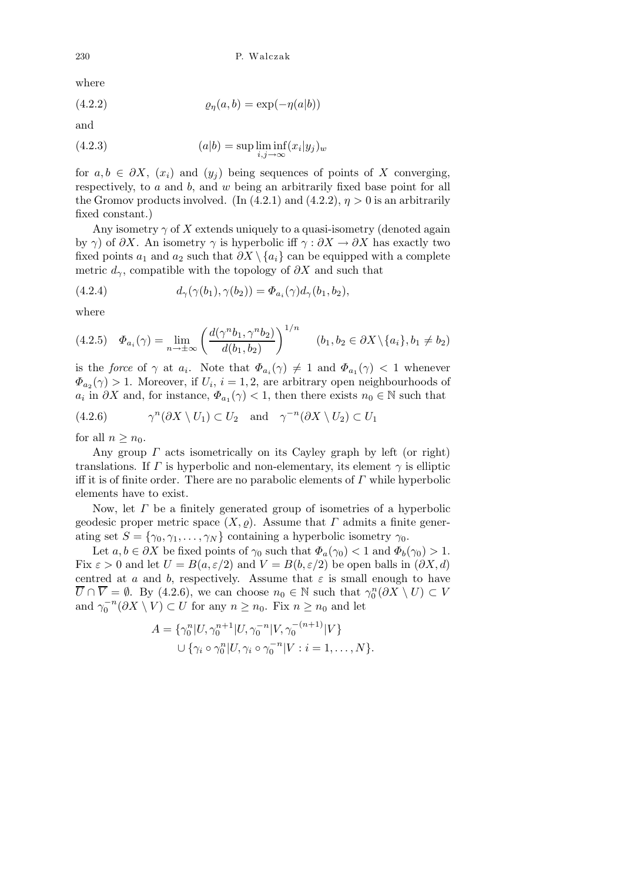where

$$
(4.2.2) \t\t \t\t \rho_{\eta}(a,b) = \exp(-\eta(a|b))
$$

and

(4.2.3) 
$$
(a|b) = \sup \liminf_{i,j \to \infty} (x_i|y_j)_w
$$

for  $a, b \in \partial X$ ,  $(x_i)$  and  $(y_j)$  being sequences of points of X converging, respectively, to  $a$  and  $b$ , and  $w$  being an arbitrarily fixed base point for all the Gromov products involved. (In (4.2.1) and (4.2.2),  $\eta > 0$  is an arbitrarily fixed constant.)

Any isometry  $\gamma$  of X extends uniquely to a quasi-isometry (denoted again by  $\gamma$ ) of  $\partial X$ . An isometry  $\gamma$  is hyperbolic iff  $\gamma : \partial X \to \partial X$  has exactly two fixed points  $a_1$  and  $a_2$  such that  $\partial X \setminus \{a_i\}$  can be equipped with a complete metric  $d_{\gamma}$ , compatible with the topology of  $\partial X$  and such that

(4.2.4) 
$$
d_{\gamma}(\gamma(b_1), \gamma(b_2)) = \Phi_{a_i}(\gamma)d_{\gamma}(b_1, b_2),
$$

where

$$
(4.2.5) \quad \Phi_{a_i}(\gamma) = \lim_{n \to \pm \infty} \left( \frac{d(\gamma^n b_1, \gamma^n b_2)}{d(b_1, b_2)} \right)^{1/n} \quad (b_1, b_2 \in \partial X \setminus \{a_i\}, b_1 \neq b_2)
$$

is the *force* of  $\gamma$  at  $a_i$ . Note that  $\Phi_{a_i}(\gamma) \neq 1$  and  $\Phi_{a_1}(\gamma) < 1$  whenever  $\Phi_{a_2}(\gamma) > 1$ . Moreover, if  $U_i$ ,  $i = 1, 2$ , are arbitrary open neighbourhoods of  $a_i$  in  $\partial X$  and, for instance,  $\Phi_{a_1}(\gamma) < 1$ , then there exists  $n_0 \in \mathbb{N}$  such that

(4.2.6) 
$$
\gamma^n(\partial X \setminus U_1) \subset U_2
$$
 and  $\gamma^{-n}(\partial X \setminus U_2) \subset U_1$ 

for all  $n > n_0$ .

Any group  $\Gamma$  acts isometrically on its Cayley graph by left (or right) translations. If  $\Gamma$  is hyperbolic and non-elementary, its element  $\gamma$  is elliptic iff it is of finite order. There are no parabolic elements of  $\Gamma$  while hyperbolic elements have to exist.

Now, let  $\Gamma$  be a finitely generated group of isometries of a hyperbolic geodesic proper metric space  $(X, \varrho)$ . Assume that  $\Gamma$  admits a finite generating set  $S = \{\gamma_0, \gamma_1, \dots, \gamma_N\}$  containing a hyperbolic isometry  $\gamma_0$ .

Let  $a, b \in \partial X$  be fixed points of  $\gamma_0$  such that  $\Phi_a(\gamma_0) < 1$  and  $\Phi_b(\gamma_0) > 1$ . Fix  $\varepsilon > 0$  and let  $U = B(a, \varepsilon/2)$  and  $V = B(b, \varepsilon/2)$  be open balls in  $(\partial X, d)$ centred at a and b, respectively. Assume that  $\varepsilon$  is small enough to have  $\overline{U} \cap \overline{V} = \emptyset$ . By (4.2.6), we can choose  $n_0 \in \mathbb{N}$  such that  $\gamma_0^n(\partial X \setminus U) \subset V$ and  $\gamma_0^{-n}(\partial X \setminus V) \subset U$  for any  $n \ge n_0$ . Fix  $n \ge n_0$  and let

$$
A = \{ \gamma_0^n | U, \gamma_0^{n+1} | U, \gamma_0^{-n} | V, \gamma_0^{-(n+1)} | V \}
$$
  

$$
\cup \{ \gamma_i \circ \gamma_0^n | U, \gamma_i \circ \gamma_0^{-n} | V : i = 1, ..., N \}.
$$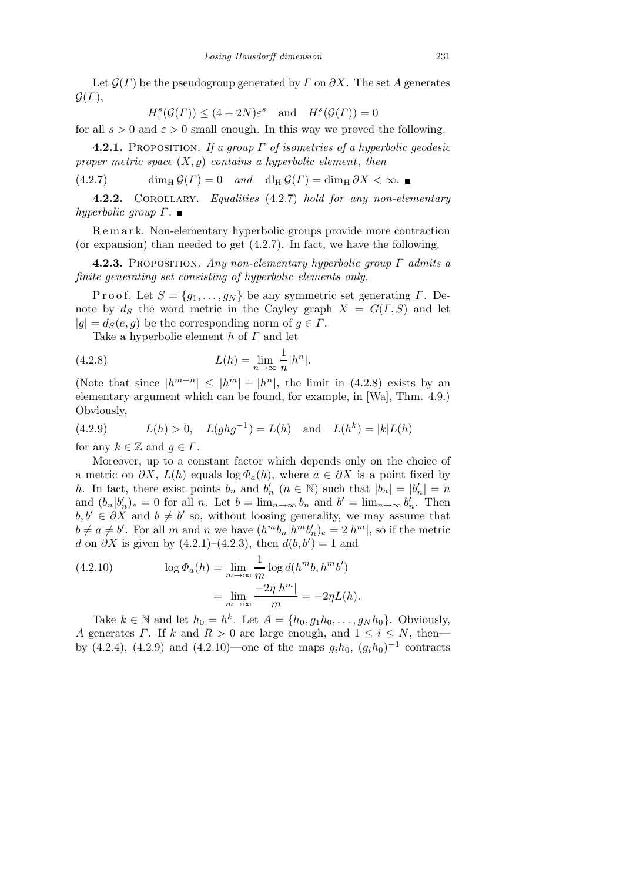Let  $\mathcal{G}(\Gamma)$  be the pseudogroup generated by  $\Gamma$  on  $\partial X$ . The set A generates  $\mathcal{G}(\Gamma),$ 

 $H^s_{\varepsilon}(\mathcal{G}(\Gamma)) \leq (4+2N)\varepsilon^s \text{ and } H^s(\mathcal{G}(\Gamma)) = 0$ 

for all  $s > 0$  and  $\varepsilon > 0$  small enough. In this way we proved the following.

**4.2.1.** PROPOSITION. If a group  $\Gamma$  of isometries of a hyperbolic geodesic proper metric space  $(X, \varrho)$  contains a hyperbolic element, then

 $(4.2.7)$  dim<sub>H</sub>  $\mathcal{G}(\Gamma) = 0$  and dl<sub>H</sub>  $\mathcal{G}(\Gamma) = \dim_H \partial X < \infty$ .

4.2.2. COROLLARY. Equalities (4.2.7) hold for any non-elementary hyperbolic group  $\Gamma$ .

R e m a r k. Non-elementary hyperbolic groups provide more contraction (or expansion) than needed to get (4.2.7). In fact, we have the following.

**4.2.3.** PROPOSITION. Any non-elementary hyperbolic group  $\Gamma$  admits a finite generating set consisting of hyperbolic elements only.

P r o o f. Let  $S = \{g_1, \ldots, g_N\}$  be any symmetric set generating  $\Gamma$ . Denote by  $d_S$  the word metric in the Cayley graph  $X = G(\Gamma, S)$  and let  $|g| = d_S(e, g)$  be the corresponding norm of  $g \in \Gamma$ .

Take a hyperbolic element  $h$  of  $\Gamma$  and let

(4.2.8) 
$$
L(h) = \lim_{n \to \infty} \frac{1}{n} |h^n|.
$$

(Note that since  $|h^{m+n}| \leq |h^{m}| + |h^{n}|$ , the limit in (4.2.8) exists by an elementary argument which can be found, for example, in [Wa], Thm. 4.9.) Obviously,

(4.2.9) 
$$
L(h) > 0
$$
,  $L(ghg^{-1}) = L(h)$  and  $L(h^k) = |k|L(h)$ 

for any  $k \in \mathbb{Z}$  and  $q \in \Gamma$ .

Moreover, up to a constant factor which depends only on the choice of a metric on  $\partial X$ ,  $L(h)$  equals  $\log \Phi_a(h)$ , where  $a \in \partial X$  is a point fixed by h. In fact, there exist points  $b_n$  and  $b'_n$   $(n \in \mathbb{N})$  such that  $|b_n| = |b'_n| = n$ and  $(b_n|b'_n)_e = 0$  for all n. Let  $b = \lim_{n \to \infty} b_n$  and  $b' = \lim_{n \to \infty} b'_n$ . Then  $b, b' \in \partial X$  and  $b \neq b'$  so, without loosing generality, we may assume that  $b \neq a \neq b'$ . For all m and n we have  $(h^m b_n | h^m b'_n)_e = 2|h^m|$ , so if the metric d on  $\partial X$  is given by (4.2.1)–(4.2.3), then  $d(b, b') = 1$  and

(4.2.10) 
$$
\log \Phi_a(h) = \lim_{m \to \infty} \frac{1}{m} \log d(h^m b, h^m b')
$$

$$
= \lim_{m \to \infty} \frac{-2\eta |h^m|}{m} = -2\eta L(h).
$$

Take  $k \in \mathbb{N}$  and let  $h_0 = h^k$ . Let  $A = \{h_0, g_1h_0, \ldots, g_Nh_0\}$ . Obviously, A generates  $\Gamma$ . If k and  $R > 0$  are large enough, and  $1 \leq i \leq N$ , then by (4.2.4), (4.2.9) and (4.2.10)—one of the maps  $g_i h_0$ ,  $(g_i h_0)^{-1}$  contracts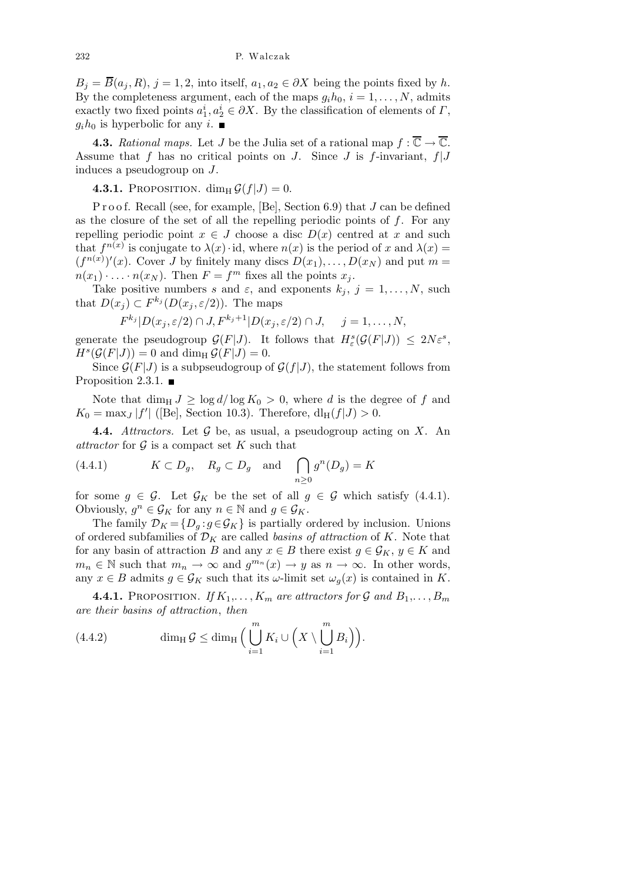$B_j = \overline{B}(a_j, R), j = 1, 2$ , into itself,  $a_1, a_2 \in \partial X$  being the points fixed by h. By the completeness argument, each of the maps  $g_i h_0$ ,  $i = 1, \ldots, N$ , admits exactly two fixed points  $a_1^i, a_2^i \in \partial X$ . By the classification of elements of  $\Gamma$ ,  $q_i h_0$  is hyperbolic for any i.

**4.3.** Rational maps. Let J be the Julia set of a rational map  $f : \overline{\mathbb{C}} \to \overline{\mathbb{C}}$ . Assume that f has no critical points on J. Since J is f-invariant,  $f|J$ induces a pseudogroup on J.

4.3.1. PROPOSITION. dim<sub>H</sub>  $\mathcal{G}(f|J) = 0$ .

P r o o f. Recall (see, for example, [Be], Section 6.9) that  $J$  can be defined as the closure of the set of all the repelling periodic points of  $f$ . For any repelling periodic point  $x \in J$  choose a disc  $D(x)$  centred at x and such that  $f^{n(x)}$  is conjugate to  $\lambda(x) \cdot id$ , where  $n(x)$  is the period of x and  $\lambda(x) =$  $(f^{n(x)})'(x)$ . Cover J by finitely many discs  $D(x_1), \ldots, D(x_N)$  and put  $m =$  $n(x_1) \cdot \ldots \cdot n(x_N)$ . Then  $F = f^m$  fixes all the points  $x_j$ .

Take positive numbers s and  $\varepsilon$ , and exponents  $k_j$ ,  $j = 1, \ldots, N$ , such that  $D(x_j) \subset F^{k_j}(D(x_j, \varepsilon/2))$ . The maps

$$
F^{k_j} | D(x_j, \varepsilon/2) \cap J, F^{k_j+1} | D(x_j, \varepsilon/2) \cap J, \quad j = 1, \dots, N,
$$

generate the pseudogroup  $\mathcal{G}(F|J)$ . It follows that  $H_{\varepsilon}^{s}(\mathcal{G}(F|J)) \leq 2N\varepsilon^{s}$ ,  $H^s(\mathcal{G}(F|J)) = 0$  and dim<sub>H</sub> $\mathcal{G}(F|J) = 0$ .

Since  $\mathcal{G}(F|J)$  is a subpseudogroup of  $\mathcal{G}(f|J)$ , the statement follows from Proposition 2.3.1.  $\blacksquare$ 

Note that dim<sub>H</sub>  $J \geq \log d / \log K_0 > 0$ , where d is the degree of f and  $K_0 = \max_J |f'|$  ([Be], Section 10.3). Therefore,  $dl_H(f|J) > 0$ .

**4.4.** Attractors. Let  $\mathcal G$  be, as usual, a pseudogroup acting on X. An attractor for  $\mathcal G$  is a compact set K such that

(4.4.1) 
$$
K \subset D_g
$$
,  $R_g \subset D_g$  and  $\bigcap_{n \ge 0} g^n(D_g) = K$ 

for some  $g \in \mathcal{G}$ . Let  $\mathcal{G}_K$  be the set of all  $g \in \mathcal{G}$  which satisfy (4.4.1). Obviously,  $g^n \in \mathcal{G}_K$  for any  $n \in \mathbb{N}$  and  $g \in \mathcal{G}_K$ .

The family  $\mathcal{D}_K = \{D_q : g \in \mathcal{G}_K\}$  is partially ordered by inclusion. Unions of ordered subfamilies of  $\mathcal{D}_K$  are called *basins of attraction* of K. Note that for any basin of attraction B and any  $x \in B$  there exist  $g \in \mathcal{G}_K$ ,  $y \in K$  and  $m_n \in \mathbb{N}$  such that  $m_n \to \infty$  and  $g^{m_n}(x) \to y$  as  $n \to \infty$ . In other words, any  $x \in B$  admits  $g \in \mathcal{G}_K$  such that its  $\omega$ -limit set  $\omega_q(x)$  is contained in K.

**4.4.1.** PROPOSITION. If  $K_1, \ldots, K_m$  are attractors for G and  $B_1, \ldots, B_m$ are their basins of attraction, then

(4.4.2) 
$$
\dim_{\mathrm{H}} \mathcal{G} \leq \dim_{\mathrm{H}} \Big( \bigcup_{i=1}^{m} K_i \cup \Big( X \setminus \bigcup_{i=1}^{m} B_i \Big) \Big).
$$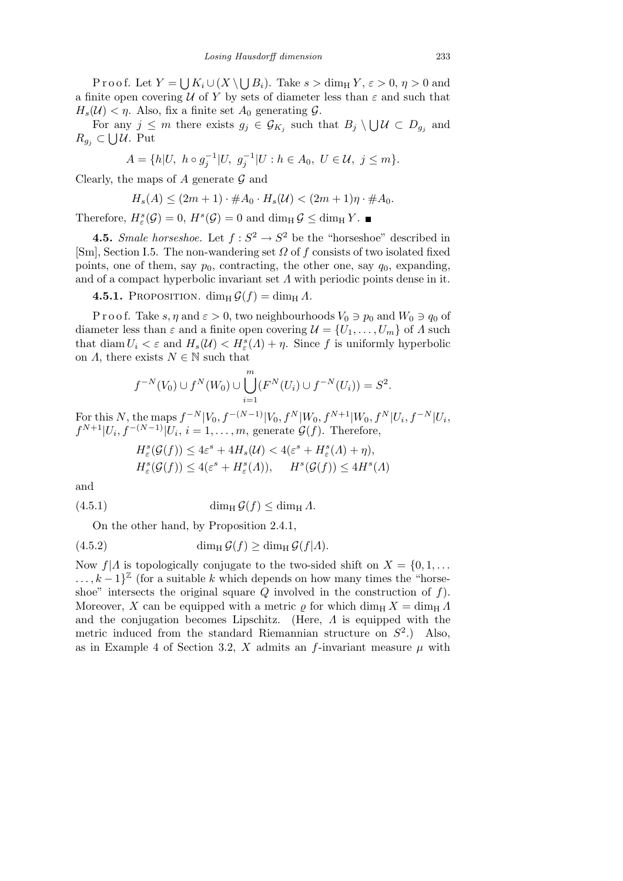Proof. Let  $Y = \bigcup K_i \cup (X \setminus \bigcup B_i)$ . Take  $s > \dim_H Y, \varepsilon > 0, \eta > 0$  and a finite open covering  $U$  of Y by sets of diameter less than  $\varepsilon$  and such that  $H_s(\mathcal{U}) < \eta$ . Also, fix a finite set  $A_0$  generating  $\mathcal{G}$ .

For any  $j \leq m$  there exists  $g_j \in \mathcal{G}_{K_j}$  such that  $B_j \setminus \bigcup \mathcal{U} \subset D_{g_j}$  and  $R_{g_j}$  ⊂ ∪ U. Put

$$
A = \{h|U, h \circ g_j^{-1}|U, g_j^{-1}|U : h \in A_0, U \in \mathcal{U}, j \le m\}.
$$

Clearly, the maps of A generate  $\mathcal G$  and

$$
H_s(A) \le (2m+1) \cdot \#A_0 \cdot H_s(U) < (2m+1)\eta \cdot \#A_0.
$$

Therefore,  $H^s_{\varepsilon}(\mathcal{G}) = 0$ ,  $H^s(\mathcal{G}) = 0$  and  $\dim_H \mathcal{G} \leq \dim_H Y$ .

**4.5.** Smale horseshoe. Let  $f: S^2 \to S^2$  be the "horseshoe" described in [Sm], Section I.5. The non-wandering set  $\Omega$  of f consists of two isolated fixed points, one of them, say  $p_0$ , contracting, the other one, say  $q_0$ , expanding, and of a compact hyperbolic invariant set  $\Lambda$  with periodic points dense in it.

**4.5.1.** PROPOSITION.  $\dim_{\rm H} G(f) = \dim_{\rm H} \Lambda$ .

P r o o f. Take s,  $\eta$  and  $\varepsilon > 0$ , two neighbourhoods  $V_0 \ni p_0$  and  $W_0 \ni q_0$  of diameter less than  $\varepsilon$  and a finite open covering  $\mathcal{U} = \{U_1, \ldots, U_m\}$  of  $\Lambda$  such that  $\text{diam } U_i < \varepsilon$  and  $H_s(\mathcal{U}) < H^s_{\varepsilon}(\Lambda) + \eta$ . Since f is uniformly hyperbolic on  $\Lambda$ , there exists  $N \in \mathbb{N}$  such that

$$
f^{-N}(V_0) \cup f^N(W_0) \cup \bigcup_{i=1}^m (F^N(U_i) \cup f^{-N}(U_i)) = S^2.
$$

For this N, the maps  $f^{-N}|V_0, f^{-(N-1)}|V_0, f^N|W_0, f^{N+1}|W_0, f^N|U_i, f^{-N}|U_i,$  $f^{N+1}|U_i, f^{-(N-1)}|U_i, i=1,\ldots,m$ , generate  $\mathcal{G}(f)$ . Therefore,

$$
H_{\varepsilon}^{s}(\mathcal{G}(f)) \leq 4\varepsilon^{s} + 4H_{s}(\mathcal{U}) < 4(\varepsilon^{s} + H_{\varepsilon}^{s}(\Lambda) + \eta),
$$
\n
$$
H_{\varepsilon}^{s}(\mathcal{G}(f)) \leq 4(\varepsilon^{s} + H_{\varepsilon}^{s}(\Lambda)), \quad H^{s}(\mathcal{G}(f)) \leq 4H^{s}(\Lambda)
$$

and

(4.5.1) 
$$
\dim_{\mathrm{H}} \mathcal{G}(f) \leq \dim_{\mathrm{H}} \Lambda.
$$

On the other hand, by Proposition 2.4.1,

(4.5.2) 
$$
\dim_{\mathrm{H}} \mathcal{G}(f) \geq \dim_{\mathrm{H}} \mathcal{G}(f|A).
$$

Now  $f|A$  is topologically conjugate to the two-sided shift on  $X = \{0, 1, \ldots\}$  $\ldots, k-1$ <sup>Z</sup> (for a suitable k which depends on how many times the "horseshoe" intersects the original square  $Q$  involved in the construction of  $f$ ). Moreover, X can be equipped with a metric  $\rho$  for which dim<sub>H</sub> X = dim<sub>H</sub>  $\Lambda$ and the conjugation becomes Lipschitz. (Here,  $\Lambda$  is equipped with the metric induced from the standard Riemannian structure on  $S^2$ .) Also, as in Example 4 of Section 3.2, X admits an f-invariant measure  $\mu$  with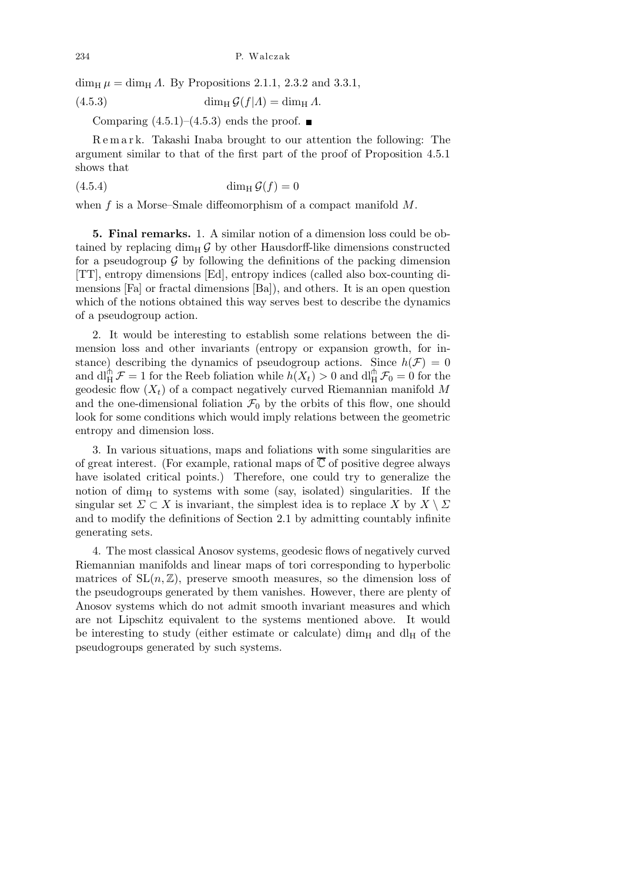dim<sub>H</sub>  $\mu =$  dim<sub>H</sub>  $\Lambda$ . By Propositions 2.1.1, 2.3.2 and 3.3.1,

 $(4.5.3)$  dim<sub>H</sub>  $\mathcal{G}(f|A) = \dim_{\text{H}} A$ .

Comparing  $(4.5.1)$ – $(4.5.3)$  ends the proof.

R e m a r k. Takashi Inaba brought to our attention the following: The argument similar to that of the first part of the proof of Proposition 4.5.1 shows that

$$
(4.5.4) \qquad \qquad \dim_{\mathcal{H}} \mathcal{G}(f) = 0
$$

when f is a Morse–Smale diffeomorphism of a compact manifold M.

5. Final remarks. 1. A similar notion of a dimension loss could be obtained by replacing dim<sub>H</sub>  $\mathcal{G}$  by other Hausdorff-like dimensions constructed for a pseudogroup  $\mathcal G$  by following the definitions of the packing dimension [TT], entropy dimensions [Ed], entropy indices (called also box-counting dimensions [Fa] or fractal dimensions [Ba]), and others. It is an open question which of the notions obtained this way serves best to describe the dynamics of a pseudogroup action.

2. It would be interesting to establish some relations between the dimension loss and other invariants (entropy or expansion growth, for instance) describing the dynamics of pseudogroup actions. Since  $h(\mathcal{F}) = 0$ and  $\text{d}\prod_{H}^{(n)} \mathcal{F} = 1$  for the Reeb foliation while  $h(X_t) > 0$  and  $\text{d}\prod_{H}^{(n)} \mathcal{F}_0 = 0$  for the geodesic flow  $(X_t)$  of a compact negatively curved Riemannian manifold M and the one-dimensional foliation  $\mathcal{F}_0$  by the orbits of this flow, one should look for some conditions which would imply relations between the geometric entropy and dimension loss.

3. In various situations, maps and foliations with some singularities are of great interest. (For example, rational maps of  $\overline{\mathbb{C}}$  of positive degree always have isolated critical points.) Therefore, one could try to generalize the notion of dim<sub>H</sub> to systems with some (say, isolated) singularities. If the singular set  $\Sigma \subset X$  is invariant, the simplest idea is to replace  $X$  by  $X \setminus \Sigma$ and to modify the definitions of Section 2.1 by admitting countably infinite generating sets.

4. The most classical Anosov systems, geodesic flows of negatively curved Riemannian manifolds and linear maps of tori corresponding to hyperbolic matrices of  $SL(n, \mathbb{Z})$ , preserve smooth measures, so the dimension loss of the pseudogroups generated by them vanishes. However, there are plenty of Anosov systems which do not admit smooth invariant measures and which are not Lipschitz equivalent to the systems mentioned above. It would be interesting to study (either estimate or calculate) dim<sub>H</sub> and dl<sub>H</sub> of the pseudogroups generated by such systems.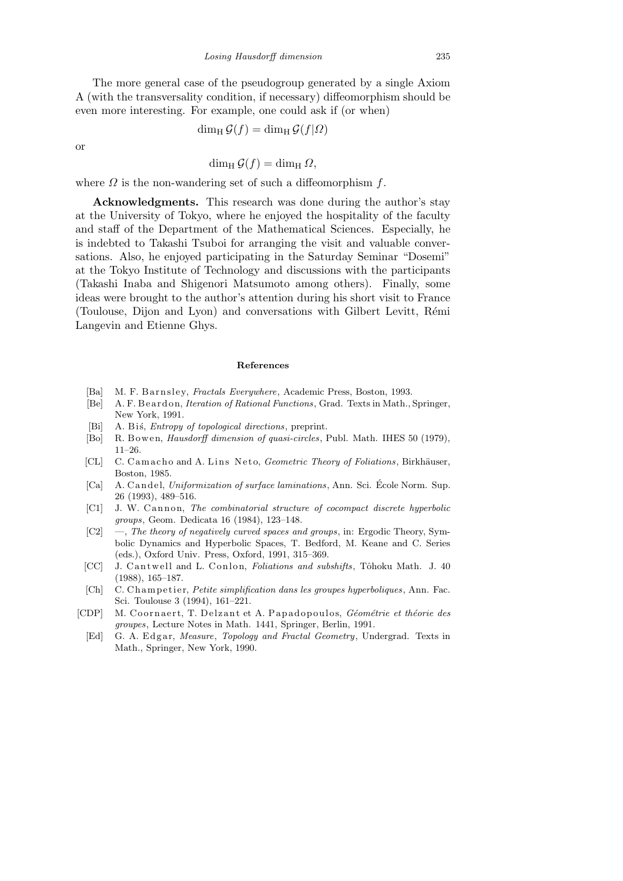The more general case of the pseudogroup generated by a single Axiom A (with the transversality condition, if necessary) diffeomorphism should be even more interesting. For example, one could ask if (or when)

$$
\dim_{\mathrm{H}} \mathcal{G}(f) = \dim_{\mathrm{H}} \mathcal{G}(f|\Omega)
$$

or

 $\dim_{\rm H} \mathcal{G}(f) = \dim_{\rm H} \Omega$ ,

where  $\Omega$  is the non-wandering set of such a diffeomorphism  $f$ .

Acknowledgments. This research was done during the author's stay at the University of Tokyo, where he enjoyed the hospitality of the faculty and staff of the Department of the Mathematical Sciences. Especially, he is indebted to Takashi Tsuboi for arranging the visit and valuable conversations. Also, he enjoyed participating in the Saturday Seminar "Dosemi" at the Tokyo Institute of Technology and discussions with the participants (Takashi Inaba and Shigenori Matsumoto among others). Finally, some ideas were brought to the author's attention during his short visit to France (Toulouse, Dijon and Lyon) and conversations with Gilbert Levitt, R´emi Langevin and Etienne Ghys.

#### **References**

- [Ba] M. F. Barnsley, *Fractals Everywhere*, Academic Press, Boston, 1993.
- [Be] A. F. Beardon, *Iteration of Rational Functions*, Grad. Texts in Math., Springer, New York, 1991.
- [Bi] A. Bis, *Entropy of topological directions*, preprint.
- [Bo] R. B owe n, *Hausdorff dimension of quasi-circles*, Publ. Math. IHES 50 (1979), 11–26.
- [CL] C. Camacho and A. Lins Neto, *Geometric Theory of Foliations*, Birkhäuser, Boston, 1985.
- [Ca] A. C and el, *Uniformization of surface laminations*, Ann. Sci. École Norm. Sup. 26 (1993), 489–516.
- [C1] J. W. Cannon, *The combinatorial structure of cocompact discrete hyperbolic groups*, Geom. Dedicata 16 (1984), 123–148.
- [C2] —, *The theory of negatively curved spaces and groups*, in: Ergodic Theory, Symbolic Dynamics and Hyperbolic Spaces, T. Bedford, M. Keane and C. Series (eds.), Oxford Univ. Press, Oxford, 1991, 315–369.
- [CC] J. Cantwell and L. Conlon, *Foliations and subshifts*, Tôhoku Math. J. 40 (1988), 165–187.
- [Ch] C. Champetier, *Petite simplification dans les groupes hyperboliques*, Ann. Fac. Sci. Toulouse 3 (1994), 161–221.
- [CDP] M. C o o r n a e r t, T. D el z a n t et A. P a p a d o p o ul o s, *G´eom´etrie et th´eorie des groupes*, Lecture Notes in Math. 1441, Springer, Berlin, 1991.
	- [Ed] G. A. Edgar, *Measure*, *Topology and Fractal Geometry*, Undergrad. Texts in Math., Springer, New York, 1990.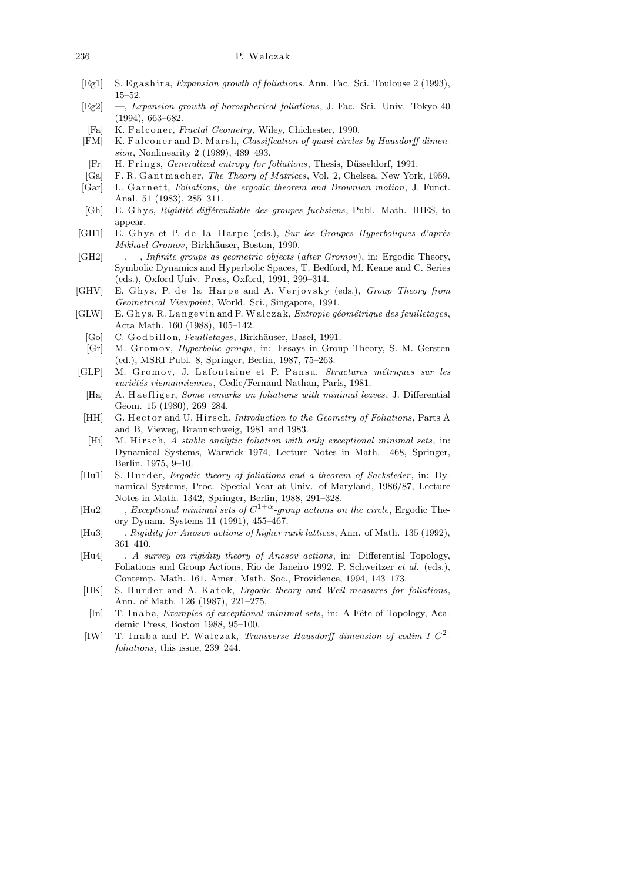#### 236 P. Walczak

- [Eg1] S. Egashira, *Expansion growth of foliations*, Ann. Fac. Sci. Toulouse 2 (1993), 15–52.
- [Eg2] —, *Expansion growth of horospherical foliations*, J. Fac. Sci. Univ. Tokyo 40 (1994), 663–682.
- [Fa] K. Falconer, *Fractal Geometry*, Wiley, Chichester, 1990.
- [FM] K. Falconer and D. Marsh, *Classification of quasi-circles by Hausdorff dimension*, Nonlinearity 2 (1989), 489–493.
- [Fr] H. Frings, *Generalized entropy for foliations*, Thesis, Düsseldorf, 1991.
- [Ga] F. R. Gantmacher, *The Theory of Matrices*, Vol. 2, Chelsea, New York, 1959.
- [Gar] L. Garnett, *Foliations*, *the ergodic theorem and Brownian motion*, J. Funct. Anal. 51 (1983), 285–311.
- [Gh] E. G h y s, *Rigidit´e diff´erentiable des groupes fuchsiens*, Publ. Math. IHES, to appear.
- [GH1] E. Ghys et P. de la Harpe (eds.), *Sur les Groupes Hyperboliques d'après Mikhael Gromov*, Birkhäuser, Boston, 1990.
- [GH2] —, —, *Infinite groups as geometric objects* (*after Gromov*), in: Ergodic Theory, Symbolic Dynamics and Hyperbolic Spaces, T. Bedford, M. Keane and C. Series (eds.), Oxford Univ. Press, Oxford, 1991, 299–314.
- [GHV] E. Ghys, P. de la Harpe and A. Verjovsky (eds.), *Group Theory from Geometrical Viewpoint*, World. Sci., Singapore, 1991.
- [GLW] E. Ghys, R. Langevin and P. Walczak, *Entropie géométrique des feuilletages*, Acta Math. 160 (1988), 105–142.
	- [Go] C. Godbillon, *Feuilletages*, Birkhäuser, Basel, 1991.
	- [Gr] M. Gromov, *Hyperbolic groups*, in: Essays in Group Theory, S. M. Gersten (ed.), MSRI Publ. 8, Springer, Berlin, 1987, 75–263.
- [GLP] M. Gromov, J. Lafontaine et P. Pansu, *Structures métriques sur les variétés riemanniennes*, Cedic/Fernand Nathan, Paris, 1981.
	- [Ha] A. Haefliger, *Some remarks on foliations with minimal leaves*, J. Differential Geom. 15 (1980), 269–284.
- [HH] G. Hector and U. Hirsch, *Introduction to the Geometry of Foliations*, Parts A and B, Vieweg, Braunschweig, 1981 and 1983.
- [Hi] M. Hirsch, *A stable analytic foliation with only exceptional minimal sets*, in: Dynamical Systems, Warwick 1974, Lecture Notes in Math. 468, Springer, Berlin, 1975, 9–10.
- [Hu1] S. Hurder, *Ergodic theory of foliations and a theorem of Sacksteder*, in: Dynamical Systems, Proc. Special Year at Univ. of Maryland, 1986/87, Lecture Notes in Math. 1342, Springer, Berlin, 1988, 291–328.
- [Hu2] —, *Exceptional minimal sets of C* 1+*α-group actions on the circle*, Ergodic Theory Dynam. Systems 11 (1991), 455–467.
- [Hu3] —, *Rigidity for Anosov actions of higher rank lattices*, Ann. of Math. 135 (1992), 361–410.
- [Hu4] —, *A survey on rigidity theory of Anosov actions*, in: Differential Topology, Foliations and Group Actions, Rio de Janeiro 1992, P. Schweitzer *et al.* (eds.), Contemp. Math. 161, Amer. Math. Soc., Providence, 1994, 143–173.
- [HK] S. Hurder and A. Katok, *Ergodic theory and Weil measures for foliations*, Ann. of Math. 126 (1987), 221–275.
- [In] T. Inaba, *Examples of exceptional minimal sets*, in: A Fête of Topology, Academic Press, Boston 1988, 95–100.
- [IW] T. Inaba and P. Walczak, *Transverse Hausdorff dimension of codim-1*  $C^2$ *foliations*, this issue, 239–244.